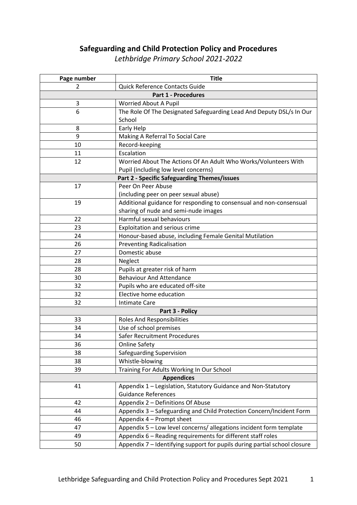# **Safeguarding and Child Protection Policy and Procedures**

*Lethbridge Primary School 2021-2022*

| Page number                | <b>Title</b>                                                              |  |
|----------------------------|---------------------------------------------------------------------------|--|
| 2                          | Quick Reference Contacts Guide                                            |  |
| <b>Part 1 - Procedures</b> |                                                                           |  |
| 3                          | Worried About A Pupil                                                     |  |
| 6                          | The Role Of The Designated Safeguarding Lead And Deputy DSL/s In Our      |  |
|                            | School                                                                    |  |
| 8                          | Early Help                                                                |  |
| 9                          | Making A Referral To Social Care                                          |  |
| 10                         | Record-keeping                                                            |  |
| 11                         | Escalation                                                                |  |
| 12                         | Worried About The Actions Of An Adult Who Works/Volunteers With           |  |
|                            | Pupil (including low level concerns)                                      |  |
|                            | Part 2 - Specific Safeguarding Themes/issues                              |  |
| 17                         | Peer On Peer Abuse                                                        |  |
|                            | (including peer on peer sexual abuse)                                     |  |
| 19                         | Additional guidance for responding to consensual and non-consensual       |  |
|                            | sharing of nude and semi-nude images                                      |  |
| 22                         | Harmful sexual behaviours                                                 |  |
| 23                         | Exploitation and serious crime                                            |  |
| 24                         | Honour-based abuse, including Female Genital Mutilation                   |  |
| 26                         | <b>Preventing Radicalisation</b>                                          |  |
| 27                         | Domestic abuse                                                            |  |
| 28                         | Neglect                                                                   |  |
| 28                         | Pupils at greater risk of harm                                            |  |
| 30                         | <b>Behaviour And Attendance</b>                                           |  |
| 32                         | Pupils who are educated off-site                                          |  |
| 32                         | Elective home education                                                   |  |
| 32                         | <b>Intimate Care</b>                                                      |  |
|                            | Part 3 - Policy                                                           |  |
| 33                         | <b>Roles And Responsibilities</b>                                         |  |
| 34                         | Use of school premises                                                    |  |
| 34                         | Safer Recruitment Procedures                                              |  |
| 36                         | <b>Online Safety</b>                                                      |  |
| 38                         | Safeguarding Supervision                                                  |  |
| 38                         | Whistle-blowing                                                           |  |
| 39                         | Training For Adults Working In Our School                                 |  |
|                            | <b>Appendices</b>                                                         |  |
| 41                         | Appendix 1 - Legislation, Statutory Guidance and Non-Statutory            |  |
|                            | <b>Guidance References</b>                                                |  |
| 42                         | Appendix 2 - Definitions Of Abuse                                         |  |
| 44                         | Appendix 3 - Safeguarding and Child Protection Concern/Incident Form      |  |
| 46                         | Appendix 4 - Prompt sheet                                                 |  |
| 47                         | Appendix 5 - Low level concerns/ allegations incident form template       |  |
| 49                         | Appendix 6 - Reading requirements for different staff roles               |  |
| 50                         | Appendix 7 - Identifying support for pupils during partial school closure |  |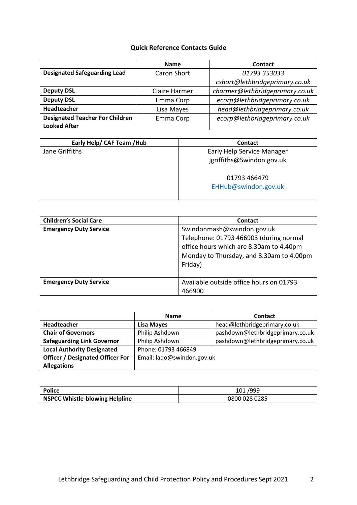## **Quick Reference Contacts Guide**

|                                        | <b>Name</b>        | Contact                         |
|----------------------------------------|--------------------|---------------------------------|
| <b>Designated Safeguarding Lead</b>    | <b>Caron Short</b> | 01793 353033                    |
|                                        |                    | cshort@lethbridgeprimary.co.uk  |
| <b>Deputy DSL</b>                      | Claire Harmer      | charmer@lethbridgeprimary.co.uk |
| <b>Deputy DSL</b>                      | Emma Corp          | ecorp@lethbridgeprimary.co.uk   |
| Headteacher                            | Lisa Mayes         | head@lethbridgeprimary.co.uk    |
| <b>Designated Teacher For Children</b> | Emma Corp          | ecorp@lethbridgeprimary.co.uk   |
| <b>Looked After</b>                    |                    |                                 |

| Early Help/ CAF Team / Hub | Contact                                                 |
|----------------------------|---------------------------------------------------------|
| Jane Griffiths             | Early Help Service Manager<br>jgriffiths@Swindon.gov.uk |
|                            | 01793 466479<br>EHHub@swindon.gov.uk                    |

| <b>Children's Social Care</b> | Contact                                                                                                                                                                |
|-------------------------------|------------------------------------------------------------------------------------------------------------------------------------------------------------------------|
| <b>Emergency Duty Service</b> | Swindonmash@swindon.gov.uk<br>Telephone: 01793 466903 (during normal<br>office hours which are 8.30am to 4.40pm<br>Monday to Thursday, and 8.30am to 4.00pm<br>Friday) |
| <b>Emergency Duty Service</b> | Available outside office hours on 01793<br>466900                                                                                                                      |

|                                         | <b>Name</b>                | <b>Contact</b>                   |
|-----------------------------------------|----------------------------|----------------------------------|
| Headteacher                             | <b>Lisa Mayes</b>          | head@lethbridgeprimary.co.uk     |
| <b>Chair of Governors</b>               | Philip Ashdown             | pashdown@lethbridgeprimary.co.uk |
| <b>Safeguarding Link Governor</b>       | Philip Ashdown             | pashdown@lethbridgeprimary.co.uk |
| <b>Local Authority Designated</b>       | Phone: 01793 466849        |                                  |
| <b>Officer / Designated Officer For</b> | Email: lado@swindon.gov.uk |                                  |
| <b>Allegations</b>                      |                            |                                  |

| <b>Police</b>                  | 101/999       |
|--------------------------------|---------------|
| NSPCC Whistle-blowing Helpline | 0800 028 0285 |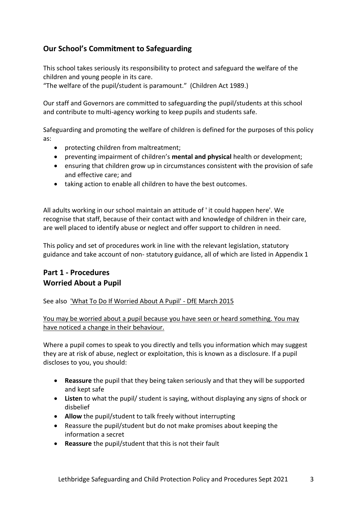# **Our School's Commitment to Safeguarding**

This school takes seriously its responsibility to protect and safeguard the welfare of the children and young people in its care.

"The welfare of the pupil/student is paramount." (Children Act 1989.)

Our staff and Governors are committed to safeguarding the pupil/students at this school and contribute to multi-agency working to keep pupils and students safe.

Safeguarding and promoting the welfare of children is defined for the purposes of this policy as:

- protecting children from maltreatment;
- preventing impairment of children's **mental and physical** health or development;
- ensuring that children grow up in circumstances consistent with the provision of safe and effective care; and
- taking action to enable all children to have the best outcomes.

All adults working in our school maintain an attitude of ' it could happen here'. We recognise that staff, because of their contact with and knowledge of children in their care, are well placed to identify abuse or neglect and offer support to children in need.

This policy and set of procedures work in line with the relevant legislation, statutory guidance and take account of non- statutory guidance, all of which are listed in Appendix 1

# **Part 1 - Procedures Worried About a Pupil**

See also ['What To Do If Worried About A Pupil' -](https://www.gov.uk/government/publications/what-to-do-if-youre-worried-a-child-is-being-abused--2) DfE March 2015

You may be worried about a pupil because you have seen or heard something. You may have noticed a change in their behaviour.

Where a pupil comes to speak to you directly and tells you information which may suggest they are at risk of abuse, neglect or exploitation, this is known as a disclosure. If a pupil discloses to you, you should:

- **Reassure** the pupil that they being taken seriously and that they will be supported and kept safe
- **Listen** to what the pupil/ student is saying, without displaying any signs of shock or disbelief
- **Allow** the pupil/student to talk freely without interrupting
- Reassure the pupil/student but do not make promises about keeping the information a secret
- **Reassure** the pupil/student that this is not their fault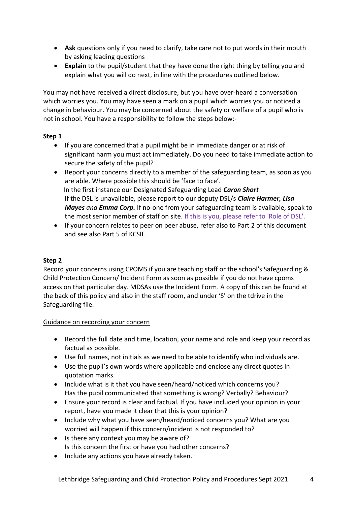- **Ask** questions only if you need to clarify, take care not to put words in their mouth by asking leading questions
- **Explain** to the pupil/student that they have done the right thing by telling you and explain what you will do next, in line with the procedures outlined below.

You may not have received a direct disclosure, but you have over-heard a conversation which worries you. You may have seen a mark on a pupil which worries you or noticed a change in behaviour. You may be concerned about the safety or welfare of a pupil who is not in school. You have a responsibility to follow the steps below:-

### **Step 1**

- If you are concerned that a pupil might be in immediate danger or at risk of significant harm you must act immediately. Do you need to take immediate action to secure the safety of the pupil?
- Report your concerns directly to a member of the safeguarding team, as soon as you are able. Where possible this should be 'face to face'. In the first instance our Designated Safeguarding Lead *Caron Short* If the DSL is unavailable, please report to our deputy DSL/s *Claire Harmer, Lisa Mayes and Emma Corp.* If no-one from your safeguarding team is available, speak to the most senior member of staff on site. If this is you, please refer to 'Role of DSL'.
- If your concern relates to peer on peer abuse, refer also to Part 2 of this document and see also Part 5 of KCSIE.

### **Step 2**

Record your concerns using CPOMS if you are teaching staff or the school's Safeguarding & Child Protection Concern/ Incident Form as soon as possible if you do not have cpoms access on that particular day. MDSAs use the Incident Form. A copy of this can be found at the back of this policy and also in the staff room, and under 'S' on the tdrive in the Safeguarding file.

### Guidance on recording your concern

- Record the full date and time, location, your name and role and keep your record as factual as possible.
- Use full names, not initials as we need to be able to identify who individuals are.
- Use the pupil's own words where applicable and enclose any direct quotes in quotation marks.
- Include what is it that you have seen/heard/noticed which concerns you? Has the pupil communicated that something is wrong? Verbally? Behaviour?
- Ensure your record is clear and factual. If you have included your opinion in your report, have you made it clear that this is your opinion?
- Include why what you have seen/heard/noticed concerns you? What are you worried will happen if this concern/incident is not responded to?
- Is there any context you may be aware of? Is this concern the first or have you had other concerns?
- Include any actions you have already taken.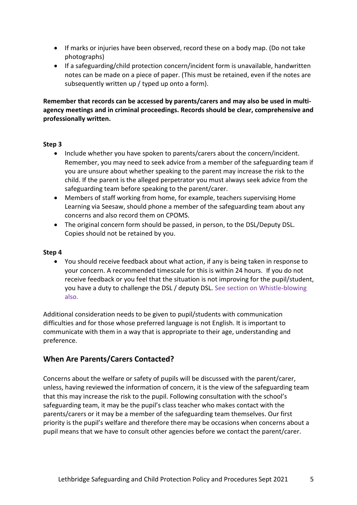- If marks or injuries have been observed, record these on a body map. (Do not take photographs)
- If a safeguarding/child protection concern/incident form is unavailable, handwritten notes can be made on a piece of paper. (This must be retained, even if the notes are subsequently written up / typed up onto a form).

**Remember that records can be accessed by parents/carers and may also be used in multiagency meetings and in criminal proceedings. Records should be clear, comprehensive and professionally written.**

### **Step 3**

- Include whether you have spoken to parents/carers about the concern/incident. Remember, you may need to seek advice from a member of the safeguarding team if you are unsure about whether speaking to the parent may increase the risk to the child. If the parent is the alleged perpetrator you must always seek advice from the safeguarding team before speaking to the parent/carer.
- Members of staff working from home, for example, teachers supervising Home Learning via Seesaw, should phone a member of the safeguarding team about any concerns and also record them on CPOMS.
- The original concern form should be passed, in person, to the DSL/Deputy DSL. Copies should not be retained by you.

#### **Step 4**

• You should receive feedback about what action, if any is being taken in response to your concern. A recommended timescale for this is within 24 hours. If you do not receive feedback or you feel that the situation is not improving for the pupil/student, you have a duty to challenge the DSL / deputy DSL. See section on Whistle-blowing also.

Additional consideration needs to be given to pupil/students with communication difficulties and for those whose preferred language is not English. It is important to communicate with them in a way that is appropriate to their age, understanding and preference.

### **When Are Parents/Carers Contacted?**

Concerns about the welfare or safety of pupils will be discussed with the parent/carer, unless, having reviewed the information of concern, it is the view of the safeguarding team that this may increase the risk to the pupil. Following consultation with the school's safeguarding team, it may be the pupil's class teacher who makes contact with the parents/carers or it may be a member of the safeguarding team themselves. Our first priority is the pupil's welfare and therefore there may be occasions when concerns about a pupil means that we have to consult other agencies before we contact the parent/carer.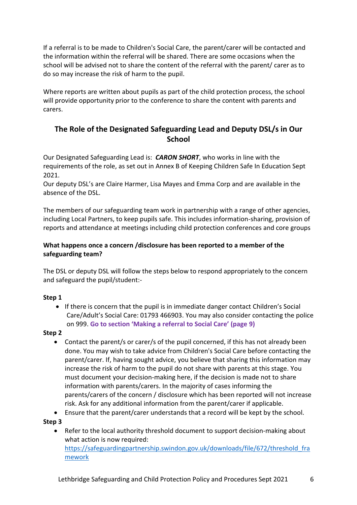If a referral is to be made to Children's Social Care, the parent/carer will be contacted and the information within the referral will be shared. There are some occasions when the school will be advised not to share the content of the referral with the parent/ carer as to do so may increase the risk of harm to the pupil.

Where reports are written about pupils as part of the child protection process, the school will provide opportunity prior to the conference to share the content with parents and carers.

# **The Role of the Designated Safeguarding Lead and Deputy DSL/s in Our School**

Our Designated Safeguarding Lead is: *CARON SHORT*, who works in line with the requirements of the role, as set out in Annex B of Keeping Children Safe In Education Sept 2021.

Our deputy DSL's are Claire Harmer, Lisa Mayes and Emma Corp and are available in the absence of the DSL.

The members of our safeguarding team work in partnership with a range of other agencies, including Local Partners, to keep pupils safe. This includes information-sharing, provision of reports and attendance at meetings including child protection conferences and core groups

### **What happens once a concern /disclosure has been reported to a member of the safeguarding team?**

The DSL or deputy DSL will follow the steps below to respond appropriately to the concern and safeguard the pupil/student:-

### **Step 1**

• If there is concern that the pupil is in immediate danger contact Children's Social Care/Adult's Social Care: 01793 466903. You may also consider contacting the police on 999. **Go to section 'Making a referral to Social Care' (page 9)**

### **Step 2**

- Contact the parent/s or carer/s of the pupil concerned, if this has not already been done. You may wish to take advice from Children's Social Care before contacting the parent/carer. If, having sought advice, you believe that sharing this information may increase the risk of harm to the pupil do not share with parents at this stage. You must document your decision-making here, if the decision is made not to share information with parents/carers. In the majority of cases informing the parents/carers of the concern / disclosure which has been reported will not increase risk. Ask for any additional information from the parent/carer if applicable.
- Ensure that the parent/carer understands that a record will be kept by the school.

### **Step 3**

• Refer to the local authority threshold document to support decision-making about what action is now required: [https://safeguardingpartnership.swindon.gov.uk/downloads/file/672/threshold\\_fra](https://safeguardingpartnership.swindon.gov.uk/downloads/file/672/threshold_framework) [mework](https://safeguardingpartnership.swindon.gov.uk/downloads/file/672/threshold_framework)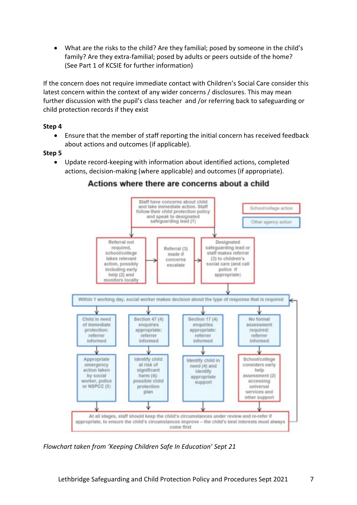• What are the risks to the child? Are they familial; posed by someone in the child's family? Are they extra-familial; posed by adults or peers outside of the home? (See Part 1 of KCSIE for further information)

If the concern does not require immediate contact with Children's Social Care consider this latest concern within the context of any wider concerns / disclosures. This may mean further discussion with the pupil's class teacher and /or referring back to safeguarding or child protection records if they exist

### **Step 4**

• Ensure that the member of staff reporting the initial concern has received feedback about actions and outcomes (if applicable).

### **Step 5**

• Update record-keeping with information about identified actions, completed actions, decision-making (where applicable) and outcomes (if appropriate).



### Actions where there are concerns about a child

*Flowchart taken from 'Keeping Children Safe In Education' Sept 21*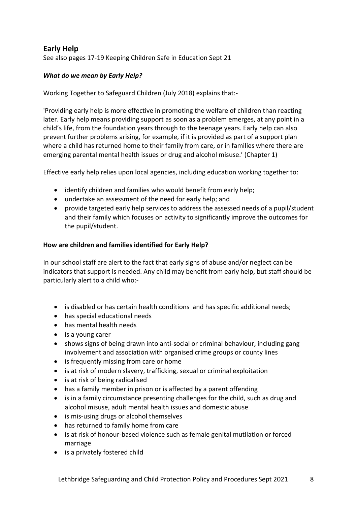# **Early Help**

See also pages 17-19 Keeping Children Safe in Education Sept 21

### *What do we mean by Early Help?*

Working Together to Safeguard Children (July 2018) explains that:-

'Providing early help is more effective in promoting the welfare of children than reacting later. Early help means providing support as soon as a problem emerges, at any point in a child's life, from the foundation years through to the teenage years. Early help can also prevent further problems arising, for example, if it is provided as part of a support plan where a child has returned home to their family from care, or in families where there are emerging parental mental health issues or drug and alcohol misuse.' (Chapter 1)

Effective early help relies upon local agencies, including education working together to:

- identify children and families who would benefit from early help;
- undertake an assessment of the need for early help; and
- provide targeted early help services to address the assessed needs of a pupil/student and their family which focuses on activity to significantly improve the outcomes for the pupil/student.

### **How are children and families identified for Early Help?**

In our school staff are alert to the fact that early signs of abuse and/or neglect can be indicators that support is needed. Any child may benefit from early help, but staff should be particularly alert to a child who:-

- is disabled or has certain health conditions and has specific additional needs;
- has special educational needs
- has mental health needs
- is a young carer
- shows signs of being drawn into anti-social or criminal behaviour, including gang involvement and association with organised crime groups or county lines
- is frequently missing from care or home
- is at risk of modern slavery, trafficking, sexual or criminal exploitation
- is at risk of being radicalised
- has a family member in prison or is affected by a parent offending
- is in a family circumstance presenting challenges for the child, such as drug and alcohol misuse, adult mental health issues and domestic abuse
- is mis-using drugs or alcohol themselves
- has returned to family home from care
- is at risk of honour-based violence such as female genital mutilation or forced marriage
- is a privately fostered child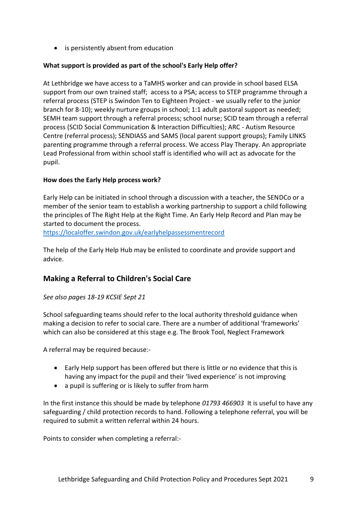• is persistently absent from education

### **What support is provided as part of the school's Early Help offer?**

At Lethbridge we have access to a TaMHS worker and can provide in school based ELSA support from our own trained staff; access to a PSA; access to STEP programme through a referral process (STEP is Swindon Ten to Eighteen Project - we usually refer to the junior branch for 8-10); weekly nurture groups in school; 1:1 adult pastoral support as needed; SEMH team support through a referral process; school nurse; SCID team through a referral process (SCID Social Communication & Interaction Difficulties); ARC - Autism Resource Centre (referral process); SENDIASS and SAMS (local parent support groups); Family LINKS parenting programme through a referral process. We access Play Therapy. An appropriate Lead Professional from within school staff is identified who will act as advocate for the pupil.

### **How does the Early Help process work?**

Early Help can be initiated in school through a discussion with a teacher, the SENDCo or a member of the senior team to establish a working partnership to support a child following the principles of The Right Help at the Right Time. An Early Help Record and Plan may be started to document the process.

<https://localoffer.swindon.gov.uk/earlyhelpassessmentrecord>

The help of the Early Help Hub may be enlisted to coordinate and provide support and advice.

# **Making a Referral to Children's Social Care**

### *See also pages 18-19 KCSIE Sept 21*

School safeguarding teams should refer to the local authority threshold guidance when making a decision to refer to social care. There are a number of additional 'frameworks' which can also be considered at this stage e.g. The Brook Tool, Neglect Framework

A referral may be required because:-

- Early Help support has been offered but there is little or no evidence that this is having any impact for the pupil and their 'lived experience' is not improving
- a pupil is suffering or is likely to suffer from harm

In the first instance this should be made by telephone *01793 466903* It is useful to have any safeguarding / child protection records to hand. Following a telephone referral, you will be required to submit a written referral within 24 hours.

Points to consider when completing a referral:-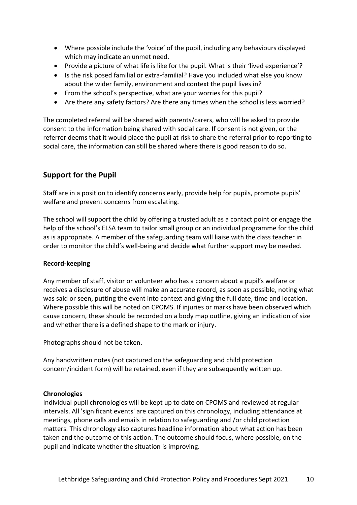- Where possible include the 'voice' of the pupil, including any behaviours displayed which may indicate an unmet need.
- Provide a picture of what life is like for the pupil. What is their 'lived experience'?
- Is the risk posed familial or extra-familial? Have you included what else you know about the wider family, environment and context the pupil lives in?
- From the school's perspective, what are your worries for this pupil?
- Are there any safety factors? Are there any times when the school is less worried?

The completed referral will be shared with parents/carers, who will be asked to provide consent to the information being shared with social care. If consent is not given, or the referrer deems that it would place the pupil at risk to share the referral prior to reporting to social care, the information can still be shared where there is good reason to do so.

### **Support for the Pupil**

Staff are in a position to identify concerns early, provide help for pupils, promote pupils' welfare and prevent concerns from escalating.

The school will support the child by offering a trusted adult as a contact point or engage the help of the school's ELSA team to tailor small group or an individual programme for the child as is appropriate. A member of the safeguarding team will liaise with the class teacher in order to monitor the child's well-being and decide what further support may be needed.

### **Record-keeping**

Any member of staff, visitor or volunteer who has a concern about a pupil's welfare or receives a disclosure of abuse will make an accurate record, as soon as possible, noting what was said or seen, putting the event into context and giving the full date, time and location. Where possible this will be noted on CPOMS. If injuries or marks have been observed which cause concern, these should be recorded on a body map outline, giving an indication of size and whether there is a defined shape to the mark or injury.

Photographs should not be taken.

Any handwritten notes (not captured on the safeguarding and child protection concern/incident form) will be retained, even if they are subsequently written up.

#### **Chronologies**

Individual pupil chronologies will be kept up to date on CPOMS and reviewed at regular intervals. All 'significant events' are captured on this chronology, including attendance at meetings, phone calls and emails in relation to safeguarding and /or child protection matters. This chronology also captures headline information about what action has been taken and the outcome of this action. The outcome should focus, where possible, on the pupil and indicate whether the situation is improving.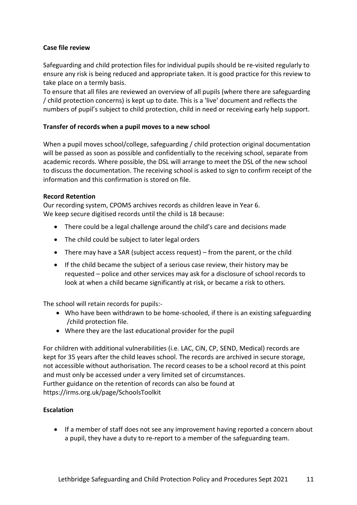### **Case file review**

Safeguarding and child protection files for individual pupils should be re-visited regularly to ensure any risk is being reduced and appropriate taken. It is good practice for this review to take place on a termly basis.

To ensure that all files are reviewed an overview of all pupils (where there are safeguarding / child protection concerns) is kept up to date. This is a 'live' document and reflects the numbers of pupil's subject to child protection, child in need or receiving early help support.

### **Transfer of records when a pupil moves to a new school**

When a pupil moves school/college, safeguarding / child protection original documentation will be passed as soon as possible and confidentially to the receiving school, separate from academic records. Where possible, the DSL will arrange to meet the DSL of the new school to discuss the documentation. The receiving school is asked to sign to confirm receipt of the information and this confirmation is stored on file.

### **Record Retention**

Our recording system, CPOMS archives records as children leave in Year 6. We keep secure digitised records until the child is 18 because:

- There could be a legal challenge around the child's care and decisions made
- The child could be subject to later legal orders
- There may have a SAR (subject access request) from the parent, or the child
- If the child became the subject of a serious case review, their history may be requested – police and other services may ask for a disclosure of school records to look at when a child became significantly at risk, or became a risk to others.

The school will retain records for pupils:-

- Who have been withdrawn to be home-schooled, if there is an existing safeguarding /child protection file.
- Where they are the last educational provider for the pupil

For children with additional vulnerabilities (i.e. LAC, CiN, CP, SEND, Medical) records are kept for 35 years after the child leaves school. The records are archived in secure storage, not accessible without authorisation. The record ceases to be a school record at this point and must only be accessed under a very limited set of circumstances. Further guidance on the retention of records can also be found at https://irms.org.uk/page/SchoolsToolkit

### **Escalation**

• If a member of staff does not see any improvement having reported a concern about a pupil, they have a duty to re-report to a member of the safeguarding team.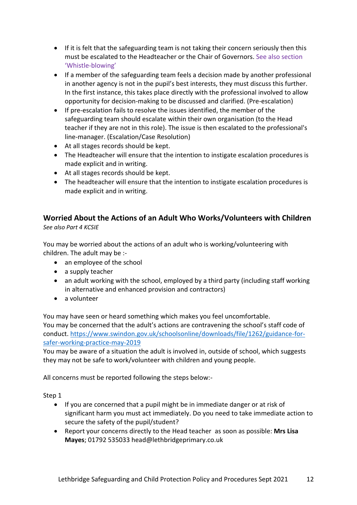- If it is felt that the safeguarding team is not taking their concern seriously then this must be escalated to the Headteacher or the Chair of Governors. See also section 'Whistle-blowing'
- If a member of the safeguarding team feels a decision made by another professional in another agency is not in the pupil's best interests, they must discuss this further. In the first instance, this takes place directly with the professional involved to allow opportunity for decision-making to be discussed and clarified. (Pre-escalation)
- If pre-escalation fails to resolve the issues identified, the member of the safeguarding team should escalate within their own organisation (to the Head teacher if they are not in this role). The issue is then escalated to the professional's line-manager. (Escalation/Case Resolution)
- At all stages records should be kept.
- The Headteacher will ensure that the intention to instigate escalation procedures is made explicit and in writing.
- At all stages records should be kept.
- The headteacher will ensure that the intention to instigate escalation procedures is made explicit and in writing.

# **Worried About the Actions of an Adult Who Works/Volunteers with Children**

*See also Part 4 KCSIE*

You may be worried about the actions of an adult who is working/volunteering with children. The adult may be :-

- an employee of the school
- a supply teacher
- an adult working with the school, employed by a third party (including staff working in alternative and enhanced provision and contractors)
- a volunteer

You may have seen or heard something which makes you feel uncomfortable.

You may be concerned that the adult's actions are contravening the school's staff code of conduct. [https://www.swindon.gov.uk/schoolsonline/downloads/file/1262/guidance-for](https://www.swindon.gov.uk/schoolsonline/downloads/file/1262/guidance-for-safer-working-practice-may-2019)[safer-working-practice-may-2019](https://www.swindon.gov.uk/schoolsonline/downloads/file/1262/guidance-for-safer-working-practice-may-2019)

You may be aware of a situation the adult is involved in, outside of school, which suggests they may not be safe to work/volunteer with children and young people.

All concerns must be reported following the steps below:-

Step 1

- If you are concerned that a pupil might be in immediate danger or at risk of significant harm you must act immediately. Do you need to take immediate action to secure the safety of the pupil/student?
- Report your concerns directly to the Head teacher as soon as possible: **Mrs Lisa Mayes**; 01792 535033 head@lethbridgeprimary.co.uk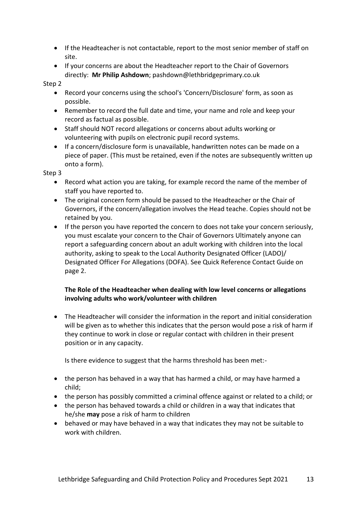- If the Headteacher is not contactable, report to the most senior member of staff on site.
- If your concerns are about the Headteacher report to the Chair of Governors directly: **Mr Philip Ashdown**; pashdown@lethbridgeprimary.co.uk

Step 2

- Record your concerns using the school's 'Concern/Disclosure' form, as soon as possible.
- Remember to record the full date and time, your name and role and keep your record as factual as possible.
- Staff should NOT record allegations or concerns about adults working or volunteering with pupils on electronic pupil record systems.
- If a concern/disclosure form is unavailable, handwritten notes can be made on a piece of paper. (This must be retained, even if the notes are subsequently written up onto a form).

Step 3

- Record what action you are taking, for example record the name of the member of staff you have reported to.
- The original concern form should be passed to the Headteacher or the Chair of Governors, if the concern/allegation involves the Head teache. Copies should not be retained by you.
- If the person you have reported the concern to does not take your concern seriously, you must escalate your concern to the Chair of Governors Ultimately anyone can report a safeguarding concern about an adult working with children into the local authority, asking to speak to the Local Authority Designated Officer (LADO)/ Designated Officer For Allegations (DOFA). See Quick Reference Contact Guide on page 2.

### **The Role of the Headteacher when dealing with low level concerns or allegations involving adults who work/volunteer with children**

• The Headteacher will consider the information in the report and initial consideration will be given as to whether this indicates that the person would pose a risk of harm if they continue to work in close or regular contact with children in their present position or in any capacity.

Is there evidence to suggest that the harms threshold has been met:-

- the person has behaved in a way that has harmed a child, or may have harmed a child;
- the person has possibly committed a criminal offence against or related to a child; or
- the person has behaved towards a child or children in a way that indicates that he/she **may** pose a risk of harm to children
- behaved or may have behaved in a way that indicates they may not be suitable to work with children.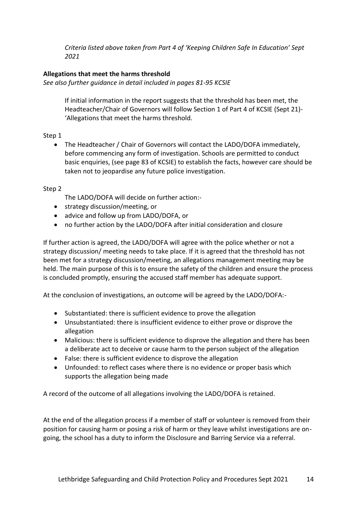*Criteria listed above taken from Part 4 of 'Keeping Children Safe In Education' Sept 2021*

### **Allegations that meet the harms threshold**

*See also further guidance in detail included in pages 81-95 KCSIE*

If initial information in the report suggests that the threshold has been met, the Headteacher/Chair of Governors will follow Section 1 of Part 4 of KCSIE (Sept 21)- 'Allegations that meet the harms threshold.

Step 1

• The Headteacher / Chair of Governors will contact the LADO/DOFA immediately, before commencing any form of investigation. Schools are permitted to conduct basic enquiries, (see page 83 of KCSIE) to establish the facts, however care should be taken not to jeopardise any future police investigation.

Step 2

The LADO/DOFA will decide on further action:-

- strategy discussion/meeting, or
- advice and follow up from LADO/DOFA, or
- no further action by the LADO/DOFA after initial consideration and closure

If further action is agreed, the LADO/DOFA will agree with the police whether or not a strategy discussion/ meeting needs to take place. If it is agreed that the threshold has not been met for a strategy discussion/meeting, an allegations management meeting may be held. The main purpose of this is to ensure the safety of the children and ensure the process is concluded promptly, ensuring the accused staff member has adequate support.

At the conclusion of investigations, an outcome will be agreed by the LADO/DOFA:-

- Substantiated: there is sufficient evidence to prove the allegation
- Unsubstantiated: there is insufficient evidence to either prove or disprove the allegation
- Malicious: there is sufficient evidence to disprove the allegation and there has been a deliberate act to deceive or cause harm to the person subject of the allegation
- False: there is sufficient evidence to disprove the allegation
- Unfounded: to reflect cases where there is no evidence or proper basis which supports the allegation being made

A record of the outcome of all allegations involving the LADO/DOFA is retained.

At the end of the allegation process if a member of staff or volunteer is removed from their position for causing harm or posing a risk of harm or they leave whilst investigations are ongoing, the school has a duty to inform the Disclosure and Barring Service via a referral.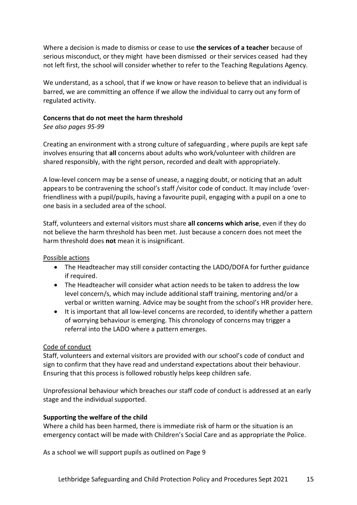Where a decision is made to dismiss or cease to use **the services of a teacher** because of serious misconduct, or they might have been dismissed or their services ceased had they not left first, the school will consider whether to refer to the Teaching Regulations Agency.

We understand, as a school, that if we know or have reason to believe that an individual is barred, we are committing an offence if we allow the individual to carry out any form of regulated activity.

### **Concerns that do not meet the harm threshold**

*See also pages 95-99*

Creating an environment with a strong culture of safeguarding , where pupils are kept safe involves ensuring that **all** concerns about adults who work/volunteer with children are shared responsibly, with the right person, recorded and dealt with appropriately.

A low-level concern may be a sense of unease, a nagging doubt, or noticing that an adult appears to be contravening the school's staff /visitor code of conduct. It may include 'overfriendliness with a pupil/pupils, having a favourite pupil, engaging with a pupil on a one to one basis in a secluded area of the school.

Staff, volunteers and external visitors must share **all concerns which arise**, even if they do not believe the harm threshold has been met. Just because a concern does not meet the harm threshold does **not** mean it is insignificant.

Possible actions

- The Headteacher may still consider contacting the LADO/DOFA for further guidance if required.
- The Headteacher will consider what action needs to be taken to address the low level concern/s, which may include additional staff training, mentoring and/or a verbal or written warning. Advice may be sought from the school's HR provider here.
- It is important that all low-level concerns are recorded, to identify whether a pattern of worrying behaviour is emerging. This chronology of concerns may trigger a referral into the LADO where a pattern emerges.

### Code of conduct

Staff, volunteers and external visitors are provided with our school's code of conduct and sign to confirm that they have read and understand expectations about their behaviour. Ensuring that this process is followed robustly helps keep children safe.

Unprofessional behaviour which breaches our staff code of conduct is addressed at an early stage and the individual supported.

### **Supporting the welfare of the child**

Where a child has been harmed, there is immediate risk of harm or the situation is an emergency contact will be made with Children's Social Care and as appropriate the Police.

As a school we will support pupils as outlined on Page 9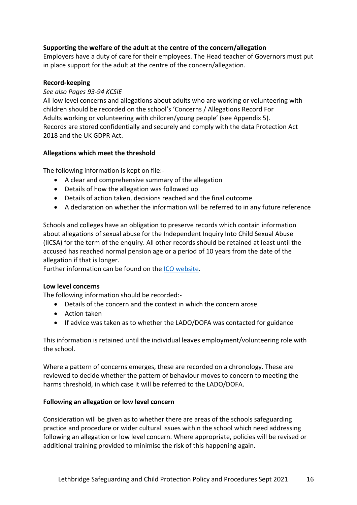### **Supporting the welfare of the adult at the centre of the concern/allegation**

Employers have a duty of care for their employees. The Head teacher of Governors must put in place support for the adult at the centre of the concern/allegation.

#### **Record-keeping**

#### *See also Pages 93-94 KCSIE*

All low level concerns and allegations about adults who are working or volunteering with children should be recorded on the school's 'Concerns / Allegations Record For Adults working or volunteering with children/young people' (see Appendix 5). Records are stored confidentially and securely and comply with the data Protection Act 2018 and the UK GDPR Act.

### **Allegations which meet the threshold**

The following information is kept on file:-

- A clear and comprehensive summary of the allegation
- Details of how the allegation was followed up
- Details of action taken, decisions reached and the final outcome
- A declaration on whether the information will be referred to in any future reference

Schools and colleges have an obligation to preserve records which contain information about allegations of sexual abuse for the Independent Inquiry Into Child Sexual Abuse (IICSA) for the term of the enquiry. All other records should be retained at least until the accused has reached normal pension age or a period of 10 years from the date of the allegation if that is longer.

Further information can be found on the [ICO website.](https://ico.org.uk/media/for-organisations/documents/1064/the_employment_practices_code.pdf)

#### **Low level concerns**

The following information should be recorded:-

- Details of the concern and the context in which the concern arose
- Action taken
- If advice was taken as to whether the LADO/DOFA was contacted for guidance

This information is retained until the individual leaves employment/volunteering role with the school.

Where a pattern of concerns emerges, these are recorded on a chronology. These are reviewed to decide whether the pattern of behaviour moves to concern to meeting the harms threshold, in which case it will be referred to the LADO/DOFA.

#### **Following an allegation or low level concern**

Consideration will be given as to whether there are areas of the schools safeguarding practice and procedure or wider cultural issues within the school which need addressing following an allegation or low level concern. Where appropriate, policies will be revised or additional training provided to minimise the risk of this happening again.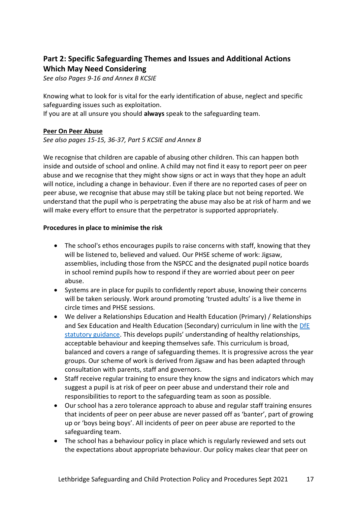# **Part 2: Specific Safeguarding Themes and Issues and Additional Actions Which May Need Considering**

*See also Pages 9-16 and Annex B KCSIE*

Knowing what to look for is vital for the early identification of abuse, neglect and specific safeguarding issues such as exploitation.

If you are at all unsure you should **always** speak to the safeguarding team.

### **Peer On Peer Abuse**

*See also pages 15-15, 36-37, Part 5 KCSIE and Annex B*

We recognise that children are capable of abusing other children. This can happen both inside and outside of school and online. A child may not find it easy to report peer on peer abuse and we recognise that they might show signs or act in ways that they hope an adult will notice, including a change in behaviour. Even if there are no reported cases of peer on peer abuse, we recognise that abuse may still be taking place but not being reported. We understand that the pupil who is perpetrating the abuse may also be at risk of harm and we will make every effort to ensure that the perpetrator is supported appropriately.

### **Procedures in place to minimise the risk**

- The school's ethos encourages pupils to raise concerns with staff, knowing that they will be listened to, believed and valued. Our PHSE scheme of work: Jigsaw, assemblies, including those from the NSPCC and the designated pupil notice boards in school remind pupils how to respond if they are worried about peer on peer abuse.
- Systems are in place for pupils to confidently report abuse, knowing their concerns will be taken seriously. Work around promoting 'trusted adults' is a live theme in circle times and PHSE sessions.
- We deliver a Relationships Education and Health Education (Primary) / Relationships and Sex Education and Health Education (Secondary) curriculum in line with the DfE [statutory guidance](https://www.gov.uk/government/publications/relationships-education-relationships-and-sex-education-rse-and-health-education). This develops pupils' understanding of healthy relationships, acceptable behaviour and keeping themselves safe. This curriculum is broad, balanced and covers a range of safeguarding themes. It is progressive across the year groups. Our scheme of work is derived from Jigsaw and has been adapted through consultation with parents, staff and governors.
- Staff receive regular training to ensure they know the signs and indicators which may suggest a pupil is at risk of peer on peer abuse and understand their role and responsibilities to report to the safeguarding team as soon as possible.
- Our school has a zero tolerance approach to abuse and regular staff training ensures that incidents of peer on peer abuse are never passed off as 'banter', part of growing up or 'boys being boys'. All incidents of peer on peer abuse are reported to the safeguarding team.
- The school has a behaviour policy in place which is regularly reviewed and sets out the expectations about appropriate behaviour. Our policy makes clear that peer on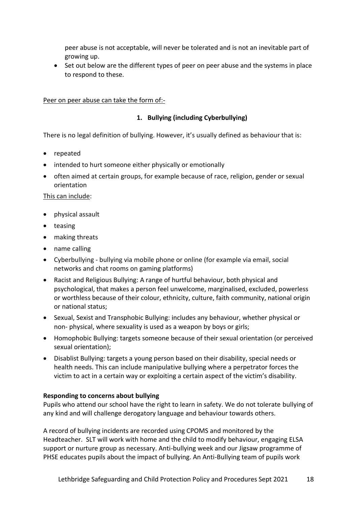peer abuse is not acceptable, will never be tolerated and is not an inevitable part of growing up.

• Set out below are the different types of peer on peer abuse and the systems in place to respond to these.

### Peer on peer abuse can take the form of:-

### **1. Bullying (including Cyberbullying)**

There is no legal definition of bullying. However, it's usually defined as behaviour that is:

- repeated
- intended to hurt someone either physically or emotionally
- often aimed at certain groups, for example because of race, religion, gender or sexual orientation

#### This can include:

- physical assault
- teasing
- making threats
- name calling
- Cyberbullying bullying via mobile phone or online (for example via email, social networks and chat rooms on gaming platforms)
- Racist and Religious Bullying: A range of hurtful behaviour, both physical and psychological, that makes a person feel unwelcome, marginalised, excluded, powerless or worthless because of their colour, ethnicity, culture, faith community, national origin or national status;
- Sexual, Sexist and Transphobic Bullying: includes any behaviour, whether physical or non- physical, where sexuality is used as a weapon by boys or girls;
- Homophobic Bullying: targets someone because of their sexual orientation (or perceived sexual orientation);
- Disablist Bullying: targets a young person based on their disability, special needs or health needs. This can include manipulative bullying where a perpetrator forces the victim to act in a certain way or exploiting a certain aspect of the victim's disability.

#### **Responding to concerns about bullying**

Pupils who attend our school have the right to learn in safety. We do not tolerate bullying of any kind and will challenge derogatory language and behaviour towards others.

A record of bullying incidents are recorded using CPOMS and monitored by the Headteacher. SLT will work with home and the child to modify behaviour, engaging ELSA support or nurture group as necessary. Anti-bullying week and our Jigsaw programme of PHSE educates pupils about the impact of bullying. An Anti-Bullying team of pupils work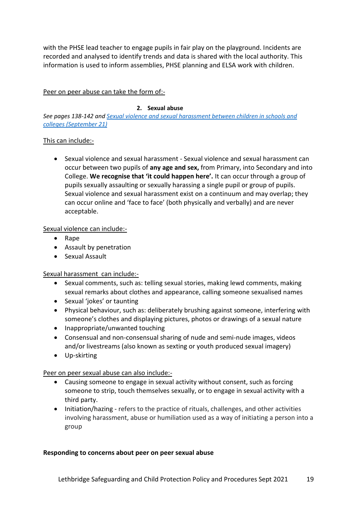with the PHSE lead teacher to engage pupils in fair play on the playground. Incidents are recorded and analysed to identify trends and data is shared with the local authority. This information is used to inform assemblies, PHSE planning and ELSA work with children.

Peer on peer abuse can take the form of:-

### **2. Sexual abuse**

*See pages 138-142 an[d Sexual violence and sexual harassment between children in schools and](https://assets.publishing.service.gov.uk/government/uploads/system/uploads/attachment_data/file/999239/SVSH_2021.pdf)  [colleges \(September 21\)](https://assets.publishing.service.gov.uk/government/uploads/system/uploads/attachment_data/file/999239/SVSH_2021.pdf)*

### This can include:-

• Sexual violence and sexual harassment - Sexual violence and sexual harassment can occur between two pupils of **any age and sex,** from Primary, into Secondary and into College. **We recognise that 'it could happen here'.** It can occur through a group of pupils sexually assaulting or sexually harassing a single pupil or group of pupils. Sexual violence and sexual harassment exist on a continuum and may overlap; they can occur online and 'face to face' (both physically and verbally) and are never acceptable.

### Sexual violence can include:-

- Rape
- Assault by penetration
- Sexual Assault

### Sexual harassment can include:-

- Sexual comments, such as: telling sexual stories, making lewd comments, making sexual remarks about clothes and appearance, calling someone sexualised names
- Sexual 'jokes' or taunting
- Physical behaviour, such as: deliberately brushing against someone, interfering with someone's clothes and displaying pictures, photos or drawings of a sexual nature
- Inappropriate/unwanted touching
- Consensual and non-consensual sharing of nude and semi-nude images, videos and/or livestreams (also known as sexting or youth produced sexual imagery)
- Up-skirting

Peer on peer sexual abuse can also include:-

- Causing someone to engage in sexual activity without consent, such as forcing someone to strip, touch themselves sexually, or to engage in sexual activity with a third party.
- Initiation/hazing refers to the practice of rituals, challenges, and other activities involving harassment, abuse or humiliation used as a way of initiating a person into a group

### **Responding to concerns about peer on peer sexual abuse**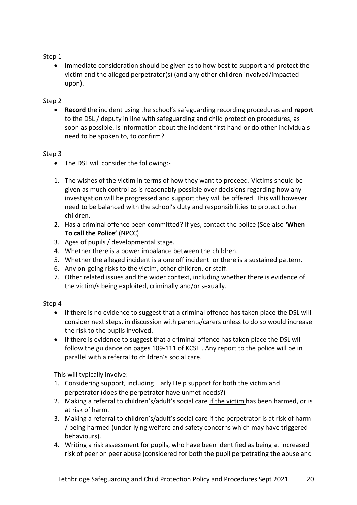### Step 1

• Immediate consideration should be given as to how best to support and protect the victim and the alleged perpetrator(s) (and any other children involved/impacted upon).

### Step 2

• **Record** the incident using the school's safeguarding recording procedures and **report** to the DSL / deputy in line with safeguarding and child protection procedures, as soon as possible. Is information about the incident first hand or do other individuals need to be spoken to, to confirm?

### Step 3

- The DSL will consider the following:-
- 1. The wishes of the victim in terms of how they want to proceed. Victims should be given as much control as is reasonably possible over decisions regarding how any investigation will be progressed and support they will be offered. This will however need to be balanced with the school's duty and responsibilities to protect other children.
- 2. Has a criminal offence been committed? If yes, contact the police (See also **['When](https://www.npcc.police.uk/documents/Children%20and%20Young%20people/When%20to%20call%20the%20police%20guidance%20for%20schools%20and%20colleges.pdf)  [To call the Police'](https://www.npcc.police.uk/documents/Children%20and%20Young%20people/When%20to%20call%20the%20police%20guidance%20for%20schools%20and%20colleges.pdf)** (NPCC)
- 3. Ages of pupils / developmental stage.
- 4. Whether there is a power imbalance between the children.
- 5. Whether the alleged incident is a one off incident or there is a sustained pattern.
- 6. Any on-going risks to the victim, other children, or staff.
- 7. Other related issues and the wider context, including whether there is evidence of the victim/s being exploited, criminally and/or sexually.

### Step 4

- If there is no evidence to suggest that a criminal offence has taken place the DSL will consider next steps, in discussion with parents/carers unless to do so would increase the risk to the pupils involved.
- If there is evidence to suggest that a criminal offence has taken place the DSL will follow the guidance on pages 109-111 of KCSIE. Any report to the police will be in parallel with a referral to children's social care.

This will typically involve:-

- 1. Considering support, including Early Help support for both the victim and perpetrator (does the perpetrator have unmet needs?)
- 2. Making a referral to children's/adult's social care if the victim has been harmed, or is at risk of harm.
- 3. Making a referral to children's/adult's social care if the perpetrator is at risk of harm / being harmed (under-lying welfare and safety concerns which may have triggered behaviours).
- 4. Writing a risk assessment for pupils, who have been identified as being at increased risk of peer on peer abuse (considered for both the pupil perpetrating the abuse and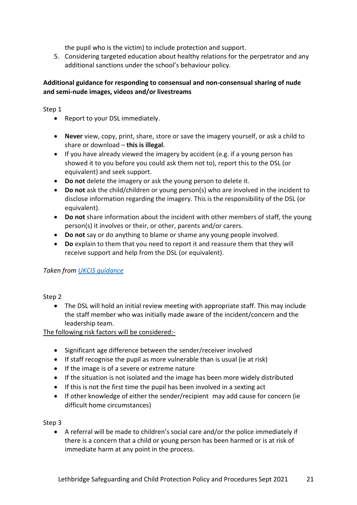the pupil who is the victim) to include protection and support.

5. Considering targeted education about healthy relations for the perpetrator and any additional sanctions under the school's behaviour policy.

### **Additional guidance for responding to consensual and non-consensual sharing of nude and semi-nude images, videos and/or livestreams**

Step 1

- Report to your DSL immediately.
- **Never** view, copy, print, share, store or save the imagery yourself, or ask a child to share or download – **this is illegal**.
- If you have already viewed the imagery by accident (e.g. if a young person has showed it to you before you could ask them not to), report this to the DSL (or equivalent) and seek support.
- **Do not** delete the imagery or ask the young person to delete it.
- **Do not** ask the child/children or young person(s) who are involved in the incident to disclose information regarding the imagery. This is the responsibility of the DSL (or equivalent).
- **Do not** share information about the incident with other members of staff, the young person(s) it involves or their, or other, parents and/or carers.
- **Do not** say or do anything to blame or shame any young people involved.
- **Do** explain to them that you need to report it and reassure them that they will receive support and help from the DSL (or equivalent).

### *Taken from [UKCIS guidance](https://www.gov.uk/government/publications/sharing-nudes-and-semi-nudes-advice-for-education-settings-working-with-children-and-young-people)*

Step 2

• The DSL will hold an initial review meeting with appropriate staff. This may include the staff member who was initially made aware of the incident/concern and the leadership team.

The following risk factors will be considered:-

- Significant age difference between the sender/receiver involved
- If staff recognise the pupil as more vulnerable than is usual (ie at risk)
- If the image is of a severe or extreme nature
- If the situation is not isolated and the image has been more widely distributed
- If this is not the first time the pupil has been involved in a sexting act
- If other knowledge of either the sender/recipient may add cause for concern (ie difficult home circumstances)

Step 3

• A referral will be made to children's social care and/or the police immediately if there is a concern that a child or young person has been harmed or is at risk of immediate harm at any point in the process.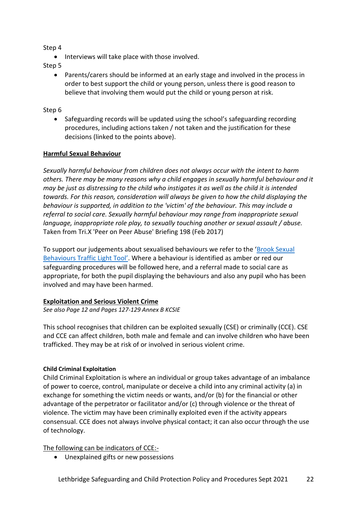Step 4

• Interviews will take place with those involved.

Step 5

• Parents/carers should be informed at an early stage and involved in the process in order to best support the child or young person, unless there is good reason to believe that involving them would put the child or young person at risk.

### Step 6

• Safeguarding records will be updated using the school's safeguarding recording procedures, including actions taken / not taken and the justification for these decisions (linked to the points above).

### **Harmful Sexual Behaviour**

*Sexually harmful behaviour from children does not always occur with the intent to harm others. There may be many reasons why a child engages in sexually harmful behaviour and it may be just as distressing to the child who instigates it as well as the child it is intended towards. For this reason, consideration will always be given to how the child displaying the behaviour is supported, in addition to the 'victim' of the behaviour. This may include a referral to social care. Sexually harmful behaviour may range from inappropriate sexual language, inappropriate role play, to sexually touching another or sexual assault / abuse.*  Taken from Tri.X 'Peer on Peer Abuse' Briefing 198 (Feb 2017)

To support our judgements about sexualised behaviours we refer to the 'Brook Sexual [Behaviours Traffic Light Tool'](https://www.brook.org.uk/training/wider-professional-training/sexual-behaviours-traffic-light-tool/). Where a behaviour is identified as amber or red our safeguarding procedures will be followed here, and a referral made to social care as appropriate, for both the pupil displaying the behaviours and also any pupil who has been involved and may have been harmed.

### **Exploitation and Serious Violent Crime**

*See also Page 12 and Pages 127-129 Annex B KCSIE*

This school recognises that children can be exploited sexually (CSE) or criminally (CCE). CSE and CCE can affect children, both male and female and can involve children who have been trafficked. They may be at risk of or involved in serious violent crime.

### **Child Criminal Exploitation**

Child Criminal Exploitation is where an individual or group takes advantage of an imbalance of power to coerce, control, manipulate or deceive a child into any criminal activity (a) in exchange for something the victim needs or wants, and/or (b) for the financial or other advantage of the perpetrator or facilitator and/or (c) through violence or the threat of violence. The victim may have been criminally exploited even if the activity appears consensual. CCE does not always involve physical contact; it can also occur through the use of technology.

The following can be indicators of CCE:-

• Unexplained gifts or new possessions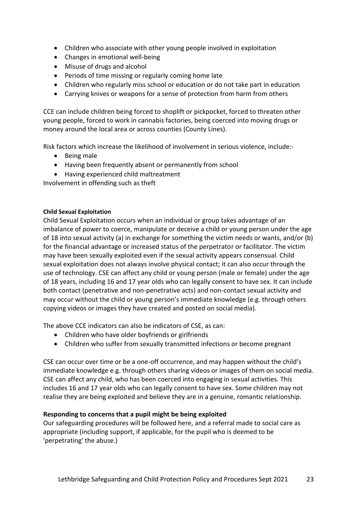- Children who associate with other young people involved in exploitation
- Changes in emotional well-being
- Misuse of drugs and alcohol
- Periods of time missing or regularly coming home late
- Children who regularly miss school or education or do not take part in education
- Carrying knives or weapons for a sense of protection from harm from others

CCE can include children being forced to shoplift or pickpocket, forced to threaten other young people, forced to work in cannabis factories, being coerced into moving drugs or money around the local area or across counties (County Lines).

Risk factors which increase the likelihood of involvement in serious violence, include:-

- Being male
- Having been frequently absent or permanently from school
- Having experienced child maltreatment

Involvement in offending such as theft

#### **Child Sexual Exploitation**

Child Sexual Exploitation occurs when an individual or group takes advantage of an imbalance of power to coerce, manipulate or deceive a child or young person under the age of 18 into sexual activity (a) in exchange for something the victim needs or wants, and/or (b) for the financial advantage or increased status of the perpetrator or facilitator. The victim may have been sexually exploited even if the sexual activity appears consensual. Child sexual exploitation does not always involve physical contact; it can also occur through the use of technology. CSE can affect any child or young person (male or female) under the age of 18 years, including 16 and 17 year olds who can legally consent to have sex. It can include both contact (penetrative and non-penetrative acts) and non-contact sexual activity and may occur without the child or young person's immediate knowledge (e.g. through others copying videos or images they have created and posted on social media).

The above CCE indicators can also be indicators of CSE, as can:

- Children who have older boyfriends or girlfriends
- Children who suffer from sexually transmitted infections or become pregnant

CSE can occur over time or be a one-off occurrence, and may happen without the child's immediate knowledge e.g. through others sharing videos or images of them on social media. CSE can affect any child, who has been coerced into engaging in sexual activities. This includes 16 and 17 year olds who can legally consent to have sex. Some children may not realise they are being exploited and believe they are in a genuine, romantic relationship.

#### **Responding to concerns that a pupil might be being exploited**

Our safeguarding procedures will be followed here, and a referral made to social care as appropriate (including support, if applicable, for the pupil who is deemed to be 'perpetrating' the abuse.)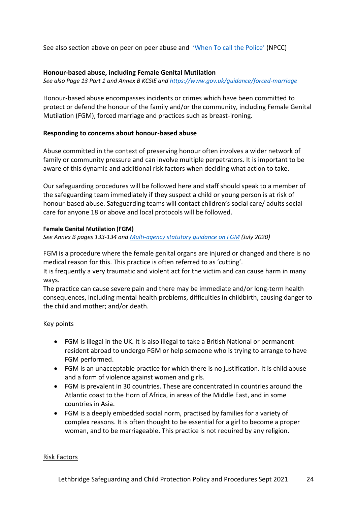### See also section above on peer on peer abuse and ['When To call the Police'](https://www.npcc.police.uk/documents/Children%20and%20Young%20people/When%20to%20call%20the%20police%20guidance%20for%20schools%20and%20colleges.pdf) (NPCC)

#### **Honour-based abuse, including Female Genital Mutilation**

*See also Page 13 Part 1 and Annex B KCSIE and<https://www.gov.uk/guidance/forced-marriage>*

Honour-based abuse encompasses incidents or crimes which have been committed to protect or defend the honour of the family and/or the community, including Female Genital Mutilation (FGM), forced marriage and practices such as breast-ironing.

### **Responding to concerns about honour-based abuse**

Abuse committed in the context of preserving honour often involves a wider network of family or community pressure and can involve multiple perpetrators. It is important to be aware of this dynamic and additional risk factors when deciding what action to take.

Our safeguarding procedures will be followed here and staff should speak to a member of the safeguarding team immediately if they suspect a child or young person is at risk of honour-based abuse. Safeguarding teams will contact children's social care/ adults social care for anyone 18 or above and local protocols will be followed.

#### **Female Genital Mutilation (FGM)**

*See Annex B pages 133-134 and [Multi-agency statutory guidance on FGM](https://www.gov.uk/government/publications/multi-agency-statutory-guidance-on-female-genital-mutilation) (July 2020)*

FGM is a procedure where the female genital organs are injured or changed and there is no medical reason for this. This practice is often referred to as 'cutting'.

It is frequently a very traumatic and violent act for the victim and can cause harm in many ways.

The practice can cause severe pain and there may be immediate and/or long-term health consequences, including mental health problems, difficulties in childbirth, causing danger to the child and mother; and/or death.

#### Key points

- FGM is illegal in the UK. It is also illegal to take a British National or permanent resident abroad to undergo FGM or help someone who is trying to arrange to have FGM performed.
- FGM is an unacceptable practice for which there is no justification. It is child abuse and a form of violence against women and girls.
- FGM is prevalent in 30 countries. These are concentrated in countries around the Atlantic coast to the Horn of Africa, in areas of the Middle East, and in some countries in Asia.
- FGM is a deeply embedded social norm, practised by families for a variety of complex reasons. It is often thought to be essential for a girl to become a proper woman, and to be marriageable. This practice is not required by any religion.

#### Risk Factors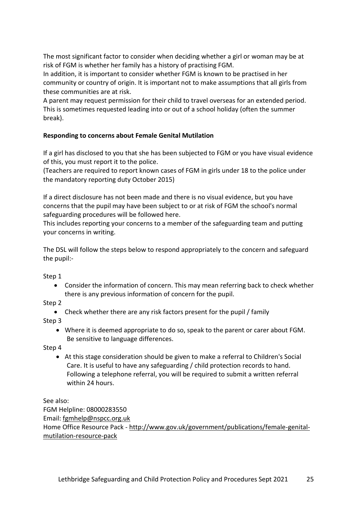The most significant factor to consider when deciding whether a girl or woman may be at risk of FGM is whether her family has a history of practising FGM.

In addition, it is important to consider whether FGM is known to be practised in her community or country of origin. It is important not to make assumptions that all girls from these communities are at risk.

A parent may request permission for their child to travel overseas for an extended period. This is sometimes requested leading into or out of a school holiday (often the summer break).

### **Responding to concerns about Female Genital Mutilation**

If a girl has disclosed to you that she has been subjected to FGM or you have visual evidence of this, you must report it to the police.

(Teachers are required to report known cases of FGM in girls under 18 to the police under the mandatory reporting duty October 2015)

If a direct disclosure has not been made and there is no visual evidence, but you have concerns that the pupil may have been subject to or at risk of FGM the school's normal safeguarding procedures will be followed here.

This includes reporting your concerns to a member of the safeguarding team and putting your concerns in writing.

The DSL will follow the steps below to respond appropriately to the concern and safeguard the pupil:-

Step 1

• Consider the information of concern. This may mean referring back to check whether there is any previous information of concern for the pupil.

Step 2

• Check whether there are any risk factors present for the pupil / family

Step 3

• Where it is deemed appropriate to do so, speak to the parent or carer about FGM. Be sensitive to language differences.

Step 4

• At this stage consideration should be given to make a referral to Children's Social Care. It is useful to have any safeguarding / child protection records to hand. Following a telephone referral, you will be required to submit a written referral within 24 hours.

See also: FGM Helpline: 08000283550 Email: [fgmhelp@nspcc.org.uk](mailto:fgmhelp@nspcc.org.uk) Home Office Resource Pack - [http://www.gov.uk/government/publications/female-genital](http://www.gov.uk/government/publications/female-genital-mutilation-resource-pack)[mutilation-resource-pack](http://www.gov.uk/government/publications/female-genital-mutilation-resource-pack)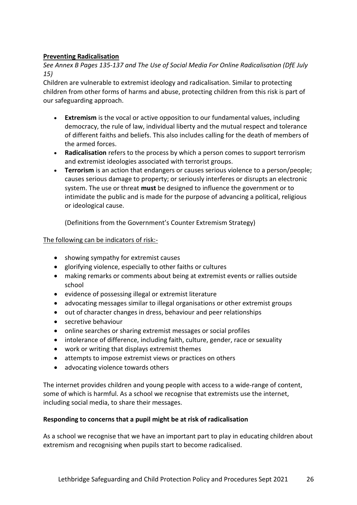### **Preventing Radicalisation**

*See Annex B Pages 135-137 and [The Use of Social Media For Online Radicalisation \(DfE July](https://www.gov.uk/government/publications/the-use-of-social-media-for-online-radicalisation)  [15\)](https://www.gov.uk/government/publications/the-use-of-social-media-for-online-radicalisation)*

Children are vulnerable to extremist ideology and radicalisation. Similar to protecting children from other forms of harms and abuse, protecting children from this risk is part of our safeguarding approach.

- **Extremism** is the vocal or active opposition to our fundamental values, including democracy, the rule of law, individual liberty and the mutual respect and tolerance of different faiths and beliefs. This also includes calling for the death of members of the armed forces.
- **Radicalisation** refers to the process by which a person comes to support terrorism and extremist ideologies associated with terrorist groups.
- **Terrorism** is an action that endangers or causes serious violence to a person/people; causes serious damage to property; or seriously interferes or disrupts an electronic system. The use or threat **must** be designed to influence the government or to intimidate the public and is made for the purpose of advancing a political, religious or ideological cause.

(Definitions from the Government's Counter Extremism Strategy)

### The following can be indicators of risk:-

- showing sympathy for extremist causes
- glorifying violence, especially to other faiths or cultures
- making remarks or comments about being at extremist events or rallies outside school
- evidence of possessing illegal or extremist literature
- advocating messages similar to illegal organisations or other extremist groups
- out of character changes in dress, behaviour and peer relationships
- secretive behaviour
- online searches or sharing extremist messages or social profiles
- intolerance of difference, including faith, culture, gender, race or sexuality
- work or writing that displays extremist themes
- attempts to impose extremist views or practices on others
- advocating violence towards others

The internet provides children and young people with access to a wide-range of content, some of which is harmful. As a school we recognise that extremists use the internet, including social media, to share their messages.

### **Responding to concerns that a pupil might be at risk of radicalisation**

As a school we recognise that we have an important part to play in educating children about extremism and recognising when pupils start to become radicalised.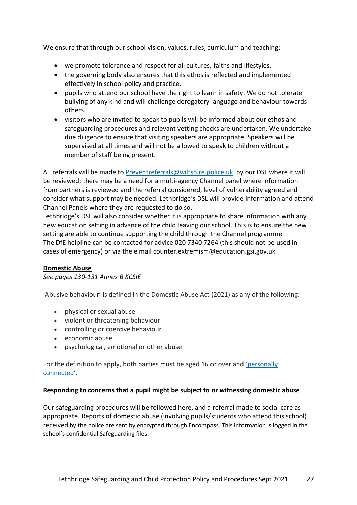We ensure that through our school vision, values, rules, curriculum and teaching:-

- we promote tolerance and respect for all cultures, faiths and lifestyles.
- the governing body also ensures that this ethos is reflected and implemented effectively in school policy and practice.
- pupils who attend our school have the right to learn in safety. We do not tolerate bullying of any kind and will challenge derogatory language and behaviour towards others.
- visitors who are invited to speak to pupils will be informed about our ethos and safeguarding procedures and relevant vetting checks are undertaken. We undertake due diligence to ensure that visiting speakers are appropriate. Speakers will be supervised at all times and will not be allowed to speak to children without a member of staff being present.

All referrals will be made to [Preventreferrals@wiltshire.police.uk](mailto:Preventreferrals@wiltshire.police.uk) by our DSL where it will be reviewed; there may be a need for a multi-agency Channel panel where information from partners is reviewed and the referral considered, level of vulnerability agreed and consider what support may be needed. Lethbridge's DSL will provide information and attend Channel Panels where they are requested to do so.

Lethbridge's DSL will also consider whether it is appropriate to share information with any new education setting in advance of the child leaving our school. This is to ensure the new setting are able to continue supporting the child through the Channel programme. The DfE helpline can be contacted for advice 020 7340 7264 (this should not be used in cases of emergency) or via the e mail [counter.extremism@education.gsi.gov.uk](mailto:counter.extremism@education.gsi.gov.uk)

#### **Domestic Abuse**

*See pages 130-131 Annex B KCSIE*

'Abusive behaviour' is defined in the Domestic Abuse Act (2021) as any of the following:

- physical or sexual abuse
- violent or threatening behaviour
- controlling or coercive behaviour
- economic abuse
- psychological, emotional or other abuse

For the definition to apply, both parties must be aged 16 or over and ['personally](https://www.lawsociety.org.uk/topics/family-and-children/domestic-abuse-act-2021#definition-of-abuse)  [connected'](https://www.lawsociety.org.uk/topics/family-and-children/domestic-abuse-act-2021#definition-of-abuse).

#### **Responding to concerns that a pupil might be subject to or witnessing domestic abuse**

Our safeguarding procedures will be followed here, and a referral made to social care as appropriate. Reports of domestic abuse (involving pupils/students who attend this school) received by the police are sent by encrypted through Encompass. This information is logged in the school's confidential Safeguarding files.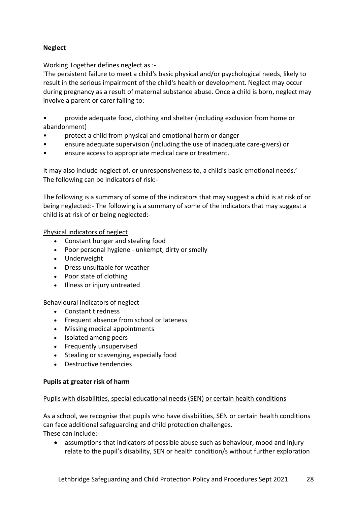### **Neglect**

Working Together defines neglect as :-

'The persistent failure to meet a child's basic physical and/or psychological needs, likely to result in the serious impairment of the child's health or development. Neglect may occur during pregnancy as a result of maternal substance abuse. Once a child is born, neglect may involve a parent or carer failing to:

• provide adequate food, clothing and shelter (including exclusion from home or abandonment)

- protect a child from physical and emotional harm or danger
- ensure adequate supervision (including the use of inadequate care-givers) or
- ensure access to appropriate medical care or treatment.

It may also include neglect of, or unresponsiveness to, a child's basic emotional needs.' The following can be indicators of risk:-

The following is a summary of some of the indicators that may suggest a child is at risk of or being neglected:- The following is a summary of some of the indicators that may suggest a child is at risk of or being neglected:-

Physical indicators of neglect

- Constant hunger and stealing food
- Poor personal hygiene unkempt, dirty or smelly
- Underweight
- Dress unsuitable for weather
- Poor state of clothing
- Illness or injury untreated

Behavioural indicators of neglect

- Constant tiredness
- Frequent absence from school or lateness
- Missing medical appointments
- Isolated among peers
- Frequently unsupervised
- Stealing or scavenging, especially food
- Destructive tendencies

#### **Pupils at greater risk of harm**

#### Pupils with disabilities, special educational needs (SEN) or certain health conditions

As a school, we recognise that pupils who have disabilities, SEN or certain health conditions can face additional safeguarding and child protection challenges. These can include:-

• assumptions that indicators of possible abuse such as behaviour, mood and injury relate to the pupil's disability, SEN or health condition/s without further exploration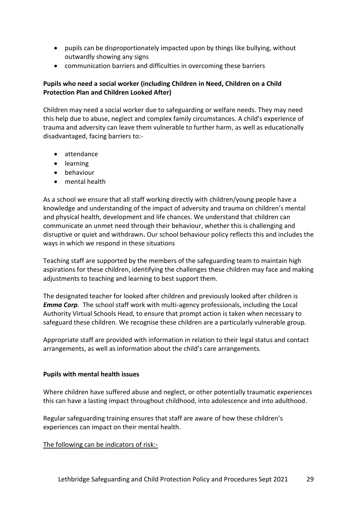- pupils can be disproportionately impacted upon by things like bullying, without outwardly showing any signs
- communication barriers and difficulties in overcoming these barriers

### **Pupils who need a social worker (including Children in Need, Children on a Child Protection Plan and Children Looked After)**

Children may need a social worker due to safeguarding or welfare needs. They may need this help due to abuse, neglect and complex family circumstances. A child's experience of trauma and adversity can leave them vulnerable to further harm, as well as educationally disadvantaged, facing barriers to:-

- attendance
- learning
- behaviour
- mental health

As a school we ensure that all staff working directly with children/young people have a knowledge and understanding of the impact of adversity and trauma on children's mental and physical health, development and life chances. We understand that children can communicate an unmet need through their behaviour, whether this is challenging and disruptive or quiet and withdrawn**.** Our school behaviour policy reflects this and includes the ways in which we respond in these situations

Teaching staff are supported by the members of the safeguarding team to maintain high aspirations for these children, identifying the challenges these children may face and making adjustments to teaching and learning to best support them.

The designated teacher for looked after children and previously looked after children is *Emma Corp.* The school staff work with multi-agency professionals, including the Local Authority Virtual Schools Head, to ensure that prompt action is taken when necessary to safeguard these children. We recognise these children are a particularly vulnerable group.

Appropriate staff are provided with information in relation to their legal status and contact arrangements, as well as information about the child's care arrangements.

#### **Pupils with mental health issues**

Where children have suffered abuse and neglect, or other potentially traumatic experiences this can have a lasting impact throughout childhood, into adolescence and into adulthood.

Regular safeguarding training ensures that staff are aware of how these children's experiences can impact on their mental health.

The following can be indicators of risk:-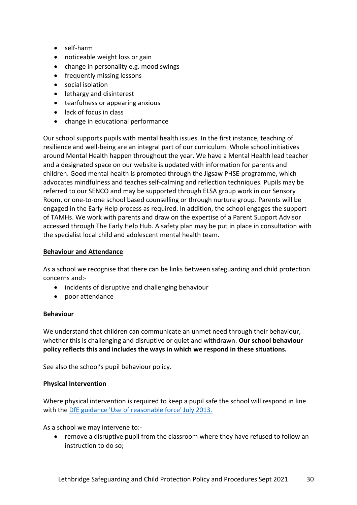- self-harm
- noticeable weight loss or gain
- change in personality e.g. mood swings
- frequently missing lessons
- social isolation
- lethargy and disinterest
- tearfulness or appearing anxious
- lack of focus in class
- change in educational performance

Our school supports pupils with mental health issues. In the first instance, teaching of resilience and well-being are an integral part of our curriculum. Whole school initiatives around Mental Health happen throughout the year. We have a Mental Health lead teacher and a designated space on our website is updated with information for parents and children. Good mental health is promoted through the Jigsaw PHSE programme, which advocates mindfulness and teaches self-calming and reflection techniques. Pupils may be referred to our SENCO and may be supported through ELSA group work in our Sensory Room, or one-to-one school based counselling or through nurture group. Parents will be engaged in the Early Help process as required. In addition, the school engages the support of TAMHs. We work with parents and draw on the expertise of a Parent Support Advisor accessed through The Early Help Hub. A safety plan may be put in place in consultation with the specialist local child and adolescent mental health team.

### **Behaviour and Attendance**

As a school we recognise that there can be links between safeguarding and child protection concerns and:-

- incidents of disruptive and challenging behaviour
- poor attendance

#### **Behaviour**

We understand that children can communicate an unmet need through their behaviour, whether this is challenging and disruptive or quiet and withdrawn. **Our school behaviour policy reflects this and includes the ways in which we respond in these situations.**

See also the school's pupil behaviour policy.

### **Physical Intervention**

Where physical intervention is required to keep a pupil safe the school will respond in line with the [DfE guidance 'Use of reasonable force' July 2013.](https://www.gov.uk/government/publications/use-of-reasonable-force-in-schools)

As a school we may intervene to:-

• remove a disruptive pupil from the classroom where they have refused to follow an instruction to do so;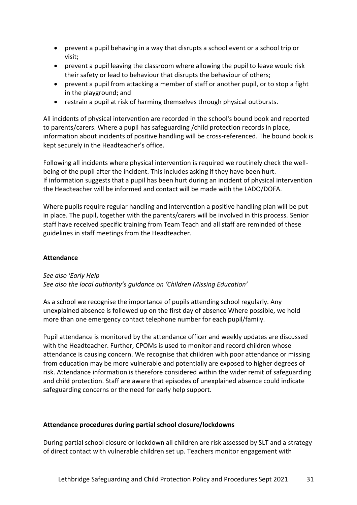- prevent a pupil behaving in a way that disrupts a school event or a school trip or visit;
- prevent a pupil leaving the classroom where allowing the pupil to leave would risk their safety or lead to behaviour that disrupts the behaviour of others;
- prevent a pupil from attacking a member of staff or another pupil, or to stop a fight in the playground; and
- restrain a pupil at risk of harming themselves through physical outbursts.

All incidents of physical intervention are recorded in the school's bound book and reported to parents/carers. Where a pupil has safeguarding /child protection records in place, information about incidents of positive handling will be cross-referenced. The bound book is kept securely in the Headteacher's office.

Following all incidents where physical intervention is required we routinely check the wellbeing of the pupil after the incident. This includes asking if they have been hurt. If information suggests that a pupil has been hurt during an incident of physical intervention the Headteacher will be informed and contact will be made with the LADO/DOFA.

Where pupils require regular handling and intervention a positive handling plan will be put in place. The pupil, together with the parents/carers will be involved in this process. Senior staff have received specific training from Team Teach and all staff are reminded of these guidelines in staff meetings from the Headteacher.

### **Attendance**

*See also 'Early Help See also the local authority's guidance on 'Children Missing Education'*

As a school we recognise the importance of pupils attending school regularly. Any unexplained absence is followed up on the first day of absence Where possible, we hold more than one emergency contact telephone number for each pupil/family.

Pupil attendance is monitored by the attendance officer and weekly updates are discussed with the Headteacher. Further, CPOMs is used to monitor and record children whose attendance is causing concern. We recognise that children with poor attendance or missing from education may be more vulnerable and potentially are exposed to higher degrees of risk. Attendance information is therefore considered within the wider remit of safeguarding and child protection. Staff are aware that episodes of unexplained absence could indicate safeguarding concerns or the need for early help support.

### **Attendance procedures during partial school closure/lockdowns**

During partial school closure or lockdown all children are risk assessed by SLT and a strategy of direct contact with vulnerable children set up. Teachers monitor engagement with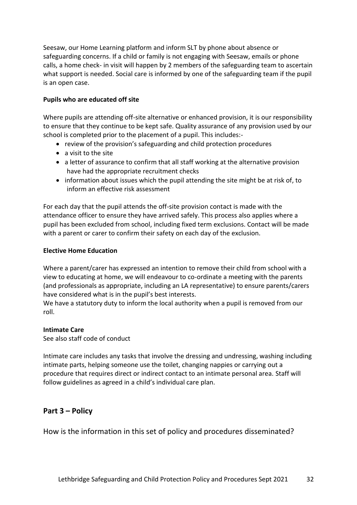Seesaw, our Home Learning platform and inform SLT by phone about absence or safeguarding concerns. If a child or family is not engaging with Seesaw, emails or phone calls, a home check- in visit will happen by 2 members of the safeguarding team to ascertain what support is needed. Social care is informed by one of the safeguarding team if the pupil is an open case.

#### **Pupils who are educated off site**

Where pupils are attending off-site alternative or enhanced provision, it is our responsibility to ensure that they continue to be kept safe. Quality assurance of any provision used by our school is completed prior to the placement of a pupil. This includes:-

- review of the provision's safeguarding and child protection procedures
- a visit to the site
- a letter of assurance to confirm that all staff working at the alternative provision have had the appropriate recruitment checks
- information about issues which the pupil attending the site might be at risk of, to inform an effective risk assessment

For each day that the pupil attends the off-site provision contact is made with the attendance officer to ensure they have arrived safely. This process also applies where a pupil has been excluded from school, including fixed term exclusions. Contact will be made with a parent or carer to confirm their safety on each day of the exclusion.

### **Elective Home Education**

Where a parent/carer has expressed an intention to remove their child from school with a view to educating at home, we will endeavour to co-ordinate a meeting with the parents (and professionals as appropriate, including an LA representative) to ensure parents/carers have considered what is in the pupil's best interests.

We have a statutory duty to inform the local authority when a pupil is removed from our roll.

#### **Intimate Care**

See also staff code of conduct

Intimate care includes any tasks that involve the dressing and undressing, washing including intimate parts, helping someone use the toilet, changing nappies or carrying out a procedure that requires direct or indirect contact to an intimate personal area. Staff will follow guidelines as agreed in a child's individual care plan.

# **Part 3 – Policy**

How is the information in this set of policy and procedures disseminated?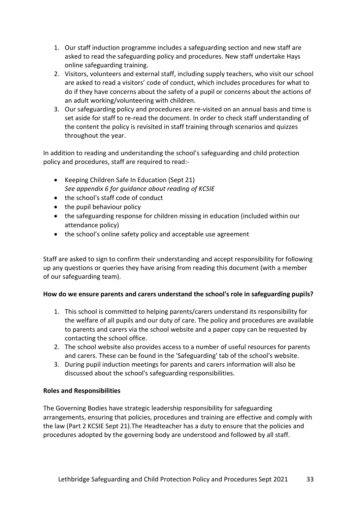- 1. Our staff induction programme includes a safeguarding section and new staff are asked to read the safeguarding policy and procedures. New staff undertake Hays online safeguarding training.
- 2. Visitors, volunteers and external staff, including supply teachers, who visit our school are asked to read a visitors' code of conduct, which includes procedures for what to do if they have concerns about the safety of a pupil or concerns about the actions of an adult working/volunteering with children.
- 3. Our safeguarding policy and procedures are re-visited on an annual basis and time is set aside for staff to re-read the document. In order to check staff understanding of the content the policy is revisited in staff training through scenarios and quizzes throughout the year.

In addition to reading and understanding the school's safeguarding and child protection policy and procedures, staff are required to read:-

- Keeping Children Safe In Education (Sept 21) *See appendix 6 for guidance about reading of KCSIE*
- the school's staff code of conduct
- the pupil behaviour policy
- the safeguarding response for children missing in education (included within our attendance policy)
- the school's online safety policy and acceptable use agreement

Staff are asked to sign to confirm their understanding and accept responsibility for following up any questions or queries they have arising from reading this document (with a member of our safeguarding team).

### **How do we ensure parents and carers understand the school's role in safeguarding pupils?**

- 1. This school is committed to helping parents/carers understand its responsibility for the welfare of all pupils and our duty of care. The policy and procedures are available to parents and carers via the school website and a paper copy can be requested by contacting the school office.
- 2. The school website also provides access to a number of useful resources for parents and carers. These can be found in the 'Safeguarding' tab of the school's website.
- 3. During pupil induction meetings for parents and carers information will also be discussed about the school's safeguarding responsibilities.

### **Roles and Responsibilities**

The Governing Bodies have strategic leadership responsibility for safeguarding arrangements, ensuring that policies, procedures and training are effective and comply with the law (Part 2 KCSIE Sept 21).The Headteacher has a duty to ensure that the policies and procedures adopted by the governing body are understood and followed by all staff.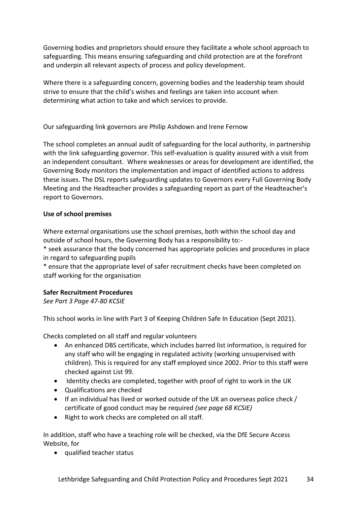Governing bodies and proprietors should ensure they facilitate a whole school approach to safeguarding. This means ensuring safeguarding and child protection are at the forefront and underpin all relevant aspects of process and policy development.

Where there is a safeguarding concern, governing bodies and the leadership team should strive to ensure that the child's wishes and feelings are taken into account when determining what action to take and which services to provide.

Our safeguarding link governors are Philip Ashdown and Irene Fernow

The school completes an annual audit of safeguarding for the local authority, in partnership with the link safeguarding governor. This self-evaluation is quality assured with a visit from an independent consultant. Where weaknesses or areas for development are identified, the Governing Body monitors the implementation and impact of identified actions to address these issues. The DSL reports safeguarding updates to Governors every Full Governing Body Meeting and the Headteacher provides a safeguarding report as part of the Headteacher's report to Governors.

### **Use of school premises**

Where external organisations use the school premises, both within the school day and outside of school hours, the Governing Body has a responsibility to:-

\* seek assurance that the body concerned has appropriate policies and procedures in place in regard to safeguarding pupils

\* ensure that the appropriate level of safer recruitment checks have been completed on staff working for the organisation

### **Safer Recruitment Procedures**

*See Part 3 Page 47-80 KCSIE* 

This school works in line with Part 3 of Keeping Children Safe In Education (Sept 2021).

Checks completed on all staff and regular volunteers

- An enhanced DBS certificate, which includes barred list information, is required for any staff who will be engaging in regulated activity (working unsupervised with children). This is required for any staff employed since 2002. Prior to this staff were checked against List 99.
- Identity checks are completed, together with proof of right to work in the UK
- Qualifications are checked
- If an individual has lived or worked outside of the UK an overseas police check / certificate of good conduct may be required *(see page 68 KCSIE)*
- Right to work checks are completed on all staff.

In addition, staff who have a teaching role will be checked, via the DfE Secure Access Website, for

• qualified teacher status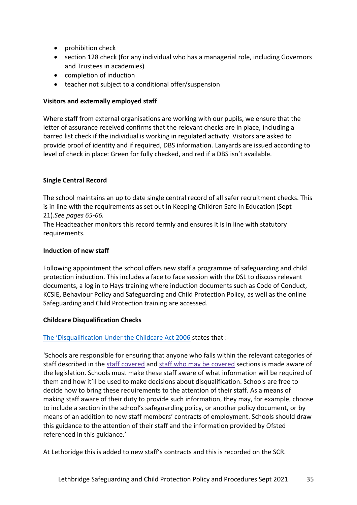- prohibition check
- section 128 check (for any individual who has a managerial role, including Governors and Trustees in academies)
- completion of induction
- teacher not subject to a conditional offer/suspension

### **Visitors and externally employed staff**

Where staff from external organisations are working with our pupils, we ensure that the letter of assurance received confirms that the relevant checks are in place, including a barred list check if the individual is working in regulated activity. Visitors are asked to provide proof of identity and if required, DBS information. Lanyards are issued according to level of check in place: Green for fully checked, and red if a DBS isn't available.

### **Single Central Record**

The school maintains an up to date single central record of all safer recruitment checks. This is in line with the requirements as set out in Keeping Children Safe In Education (Sept 21).*See pages 65-66.*

The Headteacher monitors this record termly and ensures it is in line with statutory requirements.

#### **Induction of new staff**

Following appointment the school offers new staff a programme of safeguarding and child protection induction. This includes a face to face session with the DSL to discuss relevant documents, a log in to Hays training where induction documents such as Code of Conduct, KCSIE, Behaviour Policy and Safeguarding and Child Protection Policy, as well as the online Safeguarding and Child Protection training are accessed.

#### **Childcare Disqualification Checks**

#### The 'Disqualification [Under the Childcare Act 2006](https://www.gov.uk/government/publications/disqualification-under-the-childcare-act-2006/disqualification-under-the-childcare-act-2006#staff-covered) states that :-

'Schools are responsible for ensuring that anyone who falls within the relevant categories of staff described in the staff [covered](https://www.gov.uk/government/publications/disqualification-under-the-childcare-act-2006/disqualification-under-the-childcare-act-2006#staff-covered) and staff who may be [covered](https://www.gov.uk/government/publications/disqualification-under-the-childcare-act-2006/disqualification-under-the-childcare-act-2006#staff-may-covered) sections is made aware of the legislation. Schools must make these staff aware of what information will be required of them and how it'll be used to make decisions about disqualification. Schools are free to decide how to bring these requirements to the attention of their staff. As a means of making staff aware of their duty to provide such information, they may, for example, choose to include a section in the school's safeguarding policy, or another policy document, or by means of an addition to new staff members' contracts of employment. Schools should draw this guidance to the attention of their staff and the information provided by Ofsted referenced in this guidance.'

At Lethbridge this is added to new staff's contracts and this is recorded on the SCR.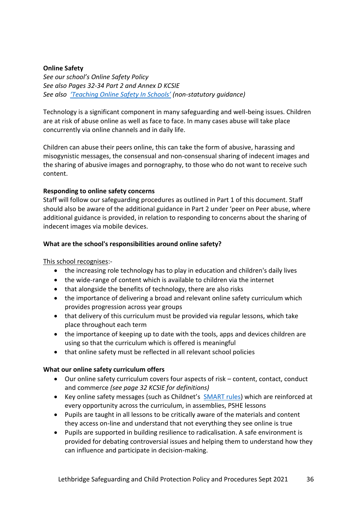### **Online Safety**

*See our school's Online Safety Policy See also Pages 32-34 Part 2 and Annex D KCSIE See also ['Teaching Online Safety In Schools'](https://www.gov.uk/government/publications/teaching-online-safety-in-schools) (non-statutory guidance)*

Technology is a significant component in many safeguarding and well-being issues. Children are at risk of abuse online as well as face to face. In many cases abuse will take place concurrently via online channels and in daily life.

Children can abuse their peers online, this can take the form of abusive, harassing and misogynistic messages, the consensual and non-consensual sharing of indecent images and the sharing of abusive images and pornography, to those who do not want to receive such content.

#### **Responding to online safety concerns**

Staff will follow our safeguarding procedures as outlined in Part 1 of this document. Staff should also be aware of the additional guidance in Part 2 under 'peer on Peer abuse, where additional guidance is provided, in relation to responding to concerns about the sharing of indecent images via mobile devices.

### **What are the school's responsibilities around online safety?**

#### This school recognises:-

- the increasing role technology has to play in education and children's daily lives
- the wide-range of content which is available to children via the internet
- that alongside the benefits of technology, there are also risks
- the importance of delivering a broad and relevant online safety curriculum which provides progression across year groups
- that delivery of this curriculum must be provided via regular lessons, which take place throughout each term
- the importance of keeping up to date with the tools, apps and devices children are using so that the curriculum which is offered is meaningful
- that online safety must be reflected in all relevant school policies

#### **What our online safety curriculum offers**

- Our online safety curriculum covers four aspects of risk content, contact, conduct and commerce *(see page 32 KCSIE for definitions)*
- Key online safety messages (such as Childnet's [SMART rules\)](https://www.childnet.com/resources/be-smart-online) which are reinforced at every opportunity across the curriculum, in assemblies, PSHE lessons
- Pupils are taught in all lessons to be critically aware of the materials and content they access on-line and understand that not everything they see online is true
- Pupils are supported in building resilience to radicalisation. A safe environment is provided for debating controversial issues and helping them to understand how they can influence and participate in decision-making.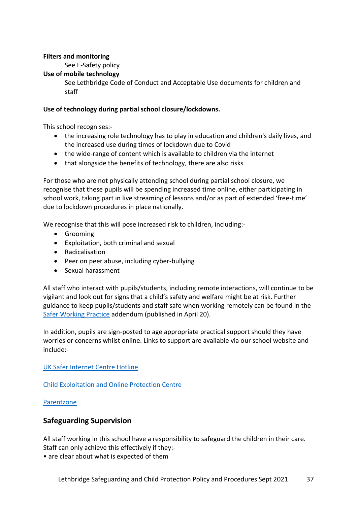### **Filters and monitoring**

See E-Safety policy

#### **Use of mobile technology**

See Lethbridge Code of Conduct and Acceptable Use documents for children and staff

### **Use of technology during partial school closure/lockdowns.**

This school recognises:-

- the increasing role technology has to play in education and children's daily lives, and the increased use during times of lockdown due to Covid
- the wide-range of content which is available to children via the internet
- that alongside the benefits of technology, there are also risks

For those who are not physically attending school during partial school closure, we recognise that these pupils will be spending increased time online, either participating in school work, taking part in live streaming of lessons and/or as part of extended 'free-time' due to lockdown procedures in place nationally.

We recognise that this will pose increased risk to children, including:-

- Grooming
- Exploitation, both criminal and sexual
- Radicalisation
- Peer on peer abuse, including cyber-bullying
- Sexual harassment

All staff who interact with pupils/students, including remote interactions, will continue to be vigilant and look out for signs that a child's safety and welfare might be at risk. Further guidance to keep pupils/students and staff safe when working remotely can be found in the [Safer Working Practice](https://www.saferrecruitmentconsortium.org/GSWP%20COVID%20addendum%20April%202020%20final-1.pdf) addendum (published in April 20).

In addition, pupils are sign-posted to age appropriate practical support should they have worries or concerns whilst online. Links to support are available via our school website and include:-

[UK Safer Internet Centre Hotline](https://www.saferinternet.org.uk/hotline)

[Child Exploitation and Online Protection Centre](https://www.ceop.police.uk/safety-centre/)

#### [Parentzone](https://parentzone.org.uk/home)

### **Safeguarding Supervision**

All staff working in this school have a responsibility to safeguard the children in their care. Staff can only achieve this effectively if they:-

• are clear about what is expected of them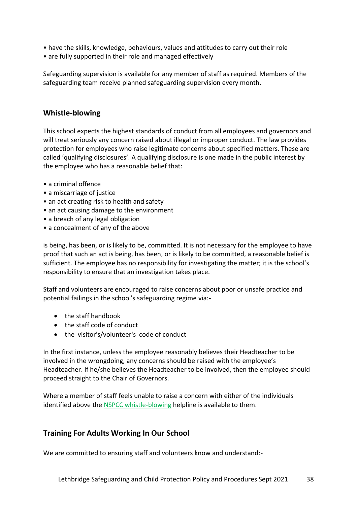- have the skills, knowledge, behaviours, values and attitudes to carry out their role
- are fully supported in their role and managed effectively

Safeguarding supervision is available for any member of staff as required. Members of the safeguarding team receive planned safeguarding supervision every month.

### **Whistle-blowing**

This school expects the highest standards of conduct from all employees and governors and will treat seriously any concern raised about illegal or improper conduct. The law provides protection for employees who raise legitimate concerns about specified matters. These are called 'qualifying disclosures'. A qualifying disclosure is one made in the public interest by the employee who has a reasonable belief that:

- a criminal offence
- a miscarriage of justice
- an act creating risk to health and safety
- an act causing damage to the environment
- a breach of any legal obligation
- a concealment of any of the above

is being, has been, or is likely to be, committed. It is not necessary for the employee to have proof that such an act is being, has been, or is likely to be committed, a reasonable belief is sufficient. The employee has no responsibility for investigating the matter; it is the school's responsibility to ensure that an investigation takes place.

Staff and volunteers are encouraged to raise concerns about poor or unsafe practice and potential failings in the school's safeguarding regime via:-

- the staff handbook
- the staff code of conduct
- the visitor's/volunteer's code of conduct

In the first instance, unless the employee reasonably believes their Headteacher to be involved in the wrongdoing, any concerns should be raised with the employee's Headteacher. If he/she believes the Headteacher to be involved, then the employee should proceed straight to the Chair of Governors.

Where a member of staff feels unable to raise a concern with either of the individuals identified above the NSPCC whistle-blowing [helpline is available to them.](https://www.nspcc.org.uk/what-you-can-do/report-abuse/dedicated-helplines/whistleblowing-advice-line/)

### **Training For Adults Working In Our School**

We are committed to ensuring staff and volunteers know and understand:-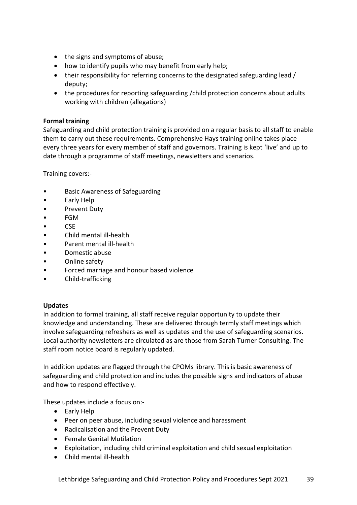- the signs and symptoms of abuse;
- how to identify pupils who may benefit from early help;
- their responsibility for referring concerns to the designated safeguarding lead / deputy;
- the procedures for reporting safeguarding /child protection concerns about adults working with children (allegations)

### **Formal training**

Safeguarding and child protection training is provided on a regular basis to all staff to enable them to carry out these requirements. Comprehensive Hays training online takes place every three years for every member of staff and governors. Training is kept 'live' and up to date through a programme of staff meetings, newsletters and scenarios.

Training covers:-

- Basic Awareness of Safeguarding
- Early Help
- Prevent Duty
- FGM
- CSE
- Child mental ill-health
- Parent mental ill-health
- Domestic abuse
- Online safety
- Forced marriage and honour based violence
- Child-trafficking

#### **Updates**

In addition to formal training, all staff receive regular opportunity to update their knowledge and understanding. These are delivered through termly staff meetings which involve safeguarding refreshers as well as updates and the use of safeguarding scenarios. Local authority newsletters are circulated as are those from Sarah Turner Consulting. The staff room notice board is regularly updated.

In addition updates are flagged through the CPOMs library. This is basic awareness of safeguarding and child protection and includes the possible signs and indicators of abuse and how to respond effectively.

These updates include a focus on:-

- Early Help
- Peer on peer abuse, including sexual violence and harassment
- Radicalisation and the Prevent Duty
- Female Genital Mutilation
- Exploitation, including child criminal exploitation and child sexual exploitation
- Child mental ill-health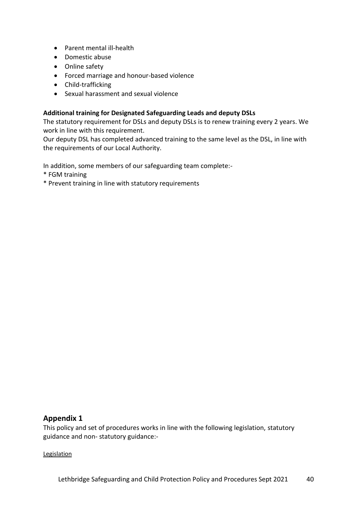- Parent mental ill-health
- Domestic abuse
- Online safety
- Forced marriage and honour-based violence
- Child-trafficking
- Sexual harassment and sexual violence

### **Additional training for Designated Safeguarding Leads and deputy DSLs**

The statutory requirement for DSLs and deputy DSLs is to renew training every 2 years. We work in line with this requirement.

Our deputy DSL has completed advanced training to the same level as the DSL, in line with the requirements of our Local Authority.

In addition, some members of our safeguarding team complete:-

- \* FGM training
- \* Prevent training in line with statutory requirements

### **Appendix 1**

This policy and set of procedures works in line with the following legislation, statutory guidance and non- statutory guidance:-

#### **Legislation**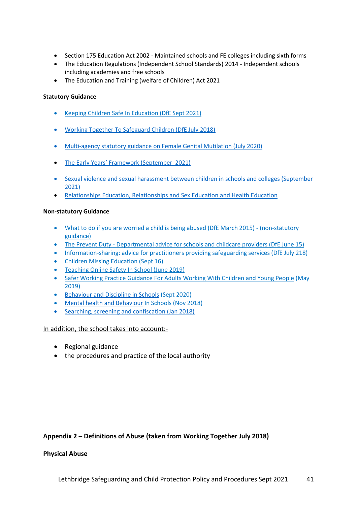- Section 175 Education Act 2002 Maintained schools and FE colleges including sixth forms
- The Education Regulations (Independent School Standards) 2014 Independent schools including academies and free schools
- The Education and Training (welfare of Children) Act 2021

#### **Statutory Guidance**

- [Keeping Children Safe In Education \(DfE Sept 2021\)](https://assets.publishing.service.gov.uk/government/uploads/system/uploads/attachment_data/file/999348/Keeping_children_safe_in_education_2021.pdf)
- [Working Together To Safeguard Children \(DfE July 2018\)](https://assets.publishing.service.gov.uk/government/uploads/system/uploads/attachment_data/file/722305/Working_Together_to_Safeguard_Children_-_Guide.pdf)
- [Multi-agency statutory guidance on Female Genital Mutilation \(July 2020\)](https://assets.publishing.service.gov.uk/government/uploads/system/uploads/attachment_data/file/800306/6-1914-HO-Multi_Agency_Statutory_Guidance.pdf)
- [The Early Years' Framework \(September 2021\)](https://assets.publishing.service.gov.uk/government/uploads/system/uploads/attachment_data/file/974907/EYFS_framework_-_March_2021.pdf)
- [Sexual violence and sexual harassment between children in schools and colleges \(September](https://assets.publishing.service.gov.uk/government/uploads/system/uploads/attachment_data/file/999239/SVSH_2021.pdf)  [2021\)](https://assets.publishing.service.gov.uk/government/uploads/system/uploads/attachment_data/file/999239/SVSH_2021.pdf)
- [Relationships Education, Relationships and Sex Education and Health Education](https://www.gov.uk/government/publications/relationships-education-relationships-and-sex-education-rse-and-health-education)

#### **Non-statutory Guidance**

- [What to do if you are worried a child is being abused \(DfE March 2015\) -](https://www.gov.uk/government/publications/what-to-do-if-youre-worried-a-child-is-being-abused--2) (non-statutory [guidance\)](https://www.gov.uk/government/publications/what-to-do-if-youre-worried-a-child-is-being-abused--2)
- The Prevent Duty [Departmental advice for schools and childcare providers \(DfE June 15\)](https://www.gov.uk/government/uploads/system/uploads/attachment_data/file/439598/prevent-duty-departmental-advice-v6.pdf)
- Information-sharing: advice for practitioners providing safeguarding services (DfE July 218)
- [Children Missing Education \(Sept 16\)](https://www.gov.uk/government/publications/children-missing-education)
- [Teaching Online Safety In School \(June 2019\)](https://www.gov.uk/government/publications/teaching-online-safety-in-schools)
- [Safer Working Practice Guidance For Adults Working With Children and Young People](https://www.saferrecruitmentconsortium.org/GSWP%20May%202019%20final.pdf) (May 2019)
- [Behaviour and Discipline in Schools](https://assets.publishing.service.gov.uk/government/uploads/system/uploads/attachment_data/file/488034/Behaviour_and_Discipline_in_Schools_-_A_guide_for_headteachers_and_School_Staff.pdf) (Sept 2020)
- [Mental health and Behaviour](https://assets.publishing.service.gov.uk/government/uploads/system/uploads/attachment_data/file/755135/Mental_health_and_behaviour_in_schools__.pdf) In Schools (Nov 2018)
- [Searching, screening and confiscation \(Jan 2018\)](https://assets.publishing.service.gov.uk/government/uploads/system/uploads/attachment_data/file/674416/Searching_screening_and_confiscation.pdf)

#### In addition, the school takes into account:-

- Regional guidance
- the procedures and practice of the local authority

#### **Appendix 2 – Definitions of Abuse (taken from Working Together July 2018)**

#### **Physical Abuse**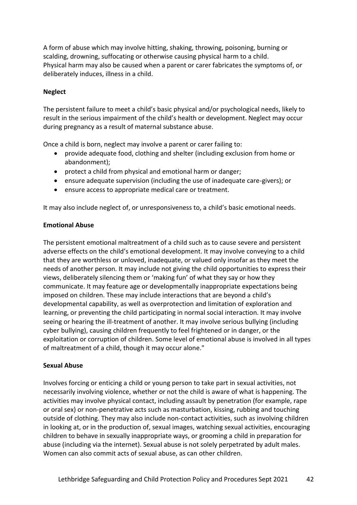A form of abuse which may involve hitting, shaking, throwing, poisoning, burning or scalding, drowning, suffocating or otherwise causing physical harm to a child. Physical harm may also be caused when a parent or carer fabricates the symptoms of, or deliberately induces, illness in a child.

#### **Neglect**

The persistent failure to meet a child's basic physical and/or psychological needs, likely to result in the serious impairment of the child's health or development. Neglect may occur during pregnancy as a result of maternal substance abuse.

Once a child is born, neglect may involve a parent or carer failing to:

- provide adequate food, clothing and shelter (including exclusion from home or abandonment);
- protect a child from physical and emotional harm or danger;
- ensure adequate supervision (including the use of inadequate care-givers); or
- ensure access to appropriate medical care or treatment.

It may also include neglect of, or unresponsiveness to, a child's basic emotional needs.

#### **Emotional Abuse**

The persistent emotional maltreatment of a child such as to cause severe and persistent adverse effects on the child's emotional development. It may involve conveying to a child that they are worthless or unloved, inadequate, or valued only insofar as they meet the needs of another person. It may include not giving the child opportunities to express their views, deliberately silencing them or 'making fun' of what they say or how they communicate. It may feature age or developmentally inappropriate expectations being imposed on children. These may include interactions that are beyond a child's developmental capability, as well as overprotection and limitation of exploration and learning, or preventing the child participating in normal social interaction. It may involve seeing or hearing the ill-treatment of another. It may involve serious bullying (including cyber bullying), causing children frequently to feel frightened or in danger, or the exploitation or corruption of children. Some level of emotional abuse is involved in all types of maltreatment of a child, though it may occur alone."

#### **Sexual Abuse**

Involves forcing or enticing a child or young person to take part in sexual activities, not necessarily involving violence, whether or not the child is aware of what is happening. The activities may involve physical contact, including assault by penetration (for example, rape or oral sex) or non-penetrative acts such as masturbation, kissing, rubbing and touching outside of clothing. They may also include non-contact activities, such as involving children in looking at, or in the production of, sexual images, watching sexual activities, encouraging children to behave in sexually inappropriate ways, or grooming a child in preparation for abuse (including via the internet). Sexual abuse is not solely perpetrated by adult males. Women can also commit acts of sexual abuse, as can other children.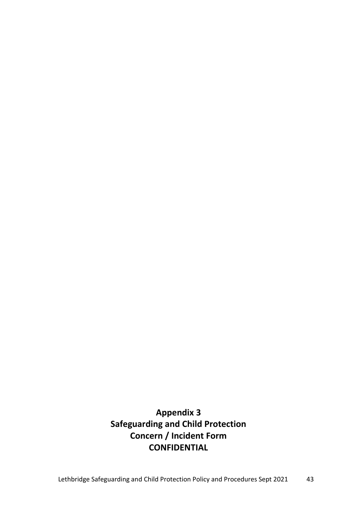**Appendix 3 Safeguarding and Child Protection Concern / Incident Form CONFIDENTIAL**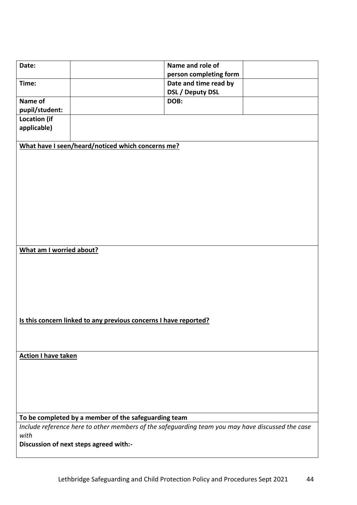| Date:                                                            | Name and role of<br>person completing form                                                       |  |
|------------------------------------------------------------------|--------------------------------------------------------------------------------------------------|--|
| Time:                                                            | Date and time read by                                                                            |  |
|                                                                  | <b>DSL / Deputy DSL</b>                                                                          |  |
| Name of                                                          | DOB:                                                                                             |  |
| pupil/student:                                                   |                                                                                                  |  |
| <b>Location (if</b>                                              |                                                                                                  |  |
| applicable)                                                      |                                                                                                  |  |
|                                                                  | What have I seen/heard/noticed which concerns me?                                                |  |
|                                                                  |                                                                                                  |  |
| What am I worried about?                                         |                                                                                                  |  |
|                                                                  |                                                                                                  |  |
| Is this concern linked to any previous concerns I have reported? |                                                                                                  |  |
| <b>Action I have taken</b>                                       |                                                                                                  |  |
|                                                                  | To be completed by a member of the safeguarding team                                             |  |
| with                                                             | Include reference here to other members of the safeguarding team you may have discussed the case |  |
|                                                                  | Discussion of next steps agreed with:-                                                           |  |
|                                                                  |                                                                                                  |  |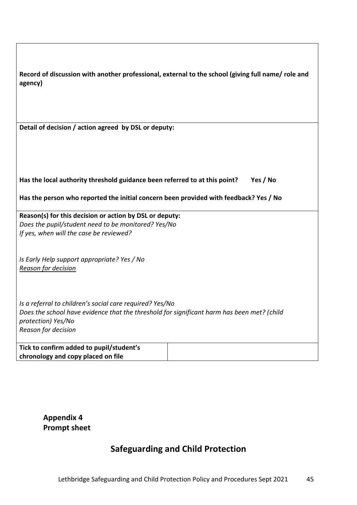| Record of discussion with another professional, external to the school (giving full name/ role and<br>agency) |          |  |
|---------------------------------------------------------------------------------------------------------------|----------|--|
| Detail of decision / action agreed by DSL or deputy:                                                          |          |  |
|                                                                                                               |          |  |
|                                                                                                               |          |  |
| Has the local authority threshold guidance been referred to at this point?                                    | Yes / No |  |
| Has the person who reported the initial concern been provided with feedback? Yes / No                         |          |  |
| Reason(s) for this decision or action by DSL or deputy:                                                       |          |  |
| Does the pupil/student need to be monitored? Yes/No<br>If yes, when will the case be reviewed?                |          |  |
|                                                                                                               |          |  |
| Is Early Help support appropriate? Yes / No                                                                   |          |  |
| Reason for decision                                                                                           |          |  |
|                                                                                                               |          |  |
| Is a referral to children's social care required? Yes/No                                                      |          |  |
| Does the school have evidence that the threshold for significant harm has been met? (child                    |          |  |
| protection) Yes/No                                                                                            |          |  |
| Reason for decision                                                                                           |          |  |
| Tick to confirm added to pupil/student's                                                                      |          |  |
| chronology and copy placed on file                                                                            |          |  |

**Appendix 4 Prompt sheet**

 $\mathsf{l}$ 

# **Safeguarding and Child Protection**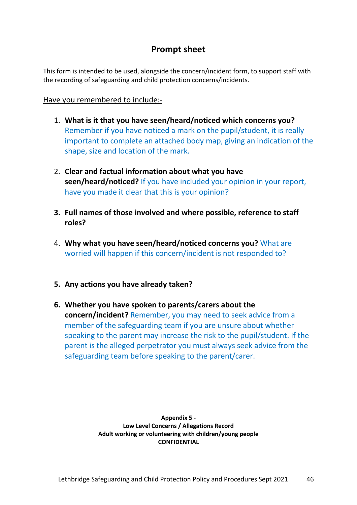# **Prompt sheet**

This form is intended to be used, alongside the concern/incident form, to support staff with the recording of safeguarding and child protection concerns/incidents.

### Have you remembered to include:-

- 1. **What is it that you have seen/heard/noticed which concerns you?** Remember if you have noticed a mark on the pupil/student, it is really important to complete an attached body map, giving an indication of the shape, size and location of the mark.
- 2. **Clear and factual information about what you have seen/heard/noticed?** If you have included your opinion in your report, have you made it clear that this is your opinion?
- **3. Full names of those involved and where possible, reference to staff roles?**
- 4. **Why what you have seen/heard/noticed concerns you?** What are worried will happen if this concern/incident is not responded to?
- **5. Any actions you have already taken?**
- **6. Whether you have spoken to parents/carers about the concern/incident?** Remember, you may need to seek advice from a member of the safeguarding team if you are unsure about whether speaking to the parent may increase the risk to the pupil/student. If the parent is the alleged perpetrator you must always seek advice from the safeguarding team before speaking to the parent/carer.

**Appendix 5 - Low Level Concerns / Allegations Record Adult working or volunteering with children/young people CONFIDENTIAL**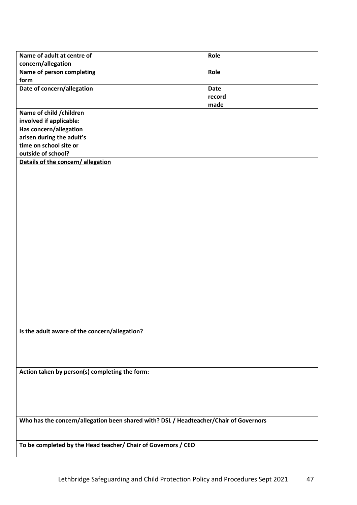| Name of adult at centre of                     |                                                                                       | Role        |  |
|------------------------------------------------|---------------------------------------------------------------------------------------|-------------|--|
| concern/allegation                             |                                                                                       |             |  |
| Name of person completing                      |                                                                                       | Role        |  |
| form                                           |                                                                                       |             |  |
| Date of concern/allegation                     |                                                                                       | <b>Date</b> |  |
|                                                |                                                                                       | record      |  |
|                                                |                                                                                       | made        |  |
| Name of child / children                       |                                                                                       |             |  |
| involved if applicable:                        |                                                                                       |             |  |
| Has concern/allegation                         |                                                                                       |             |  |
| arisen during the adult's                      |                                                                                       |             |  |
| time on school site or                         |                                                                                       |             |  |
| outside of school?                             |                                                                                       |             |  |
| Details of the concern/allegation              |                                                                                       |             |  |
|                                                |                                                                                       |             |  |
|                                                |                                                                                       |             |  |
|                                                |                                                                                       |             |  |
|                                                |                                                                                       |             |  |
|                                                |                                                                                       |             |  |
|                                                |                                                                                       |             |  |
|                                                |                                                                                       |             |  |
|                                                |                                                                                       |             |  |
|                                                |                                                                                       |             |  |
|                                                |                                                                                       |             |  |
|                                                |                                                                                       |             |  |
|                                                |                                                                                       |             |  |
|                                                |                                                                                       |             |  |
|                                                |                                                                                       |             |  |
|                                                |                                                                                       |             |  |
|                                                |                                                                                       |             |  |
|                                                |                                                                                       |             |  |
|                                                |                                                                                       |             |  |
|                                                |                                                                                       |             |  |
| Is the adult aware of the concern/allegation?  |                                                                                       |             |  |
|                                                |                                                                                       |             |  |
|                                                |                                                                                       |             |  |
|                                                |                                                                                       |             |  |
|                                                |                                                                                       |             |  |
| Action taken by person(s) completing the form: |                                                                                       |             |  |
|                                                |                                                                                       |             |  |
|                                                |                                                                                       |             |  |
|                                                |                                                                                       |             |  |
|                                                |                                                                                       |             |  |
|                                                | Who has the concern/allegation been shared with? DSL / Headteacher/Chair of Governors |             |  |
|                                                |                                                                                       |             |  |
|                                                |                                                                                       |             |  |
|                                                | To be completed by the Head teacher/ Chair of Governors / CEO                         |             |  |
|                                                |                                                                                       |             |  |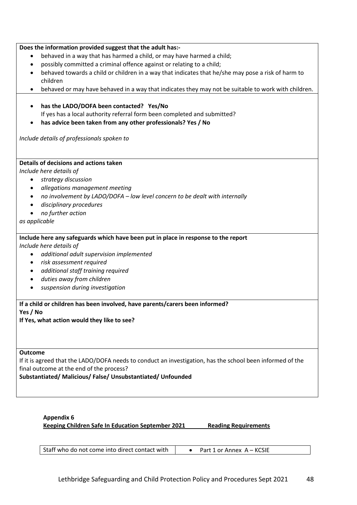#### **Does the information provided suggest that the adult has:-**

- behaved in a way that has harmed a child, or may have harmed a child;
- possibly committed a criminal offence against or relating to a child;
- behaved towards a child or children in a way that indicates that he/she may pose a risk of harm to children
- behaved or may have behaved in a way that indicates they may not be suitable to work with children.
- **has the LADO/DOFA been contacted? Yes/No**  If yes has a local authority referral form been completed and submitted?
- **has advice been taken from any other professionals? Yes / No**

*Include details of professionals spoken to* 

#### **Details of decisions and actions taken**

*Include here details of* 

- *strategy discussion*
- *allegations management meeting*
- *no involvement by LADO/DOFA – low level concern to be dealt with internally*
- *disciplinary procedures*
- *no further action*

*as applicable*

#### **Include here any safeguards which have been put in place in response to the report**

*Include here details of*

- *additional adult supervision implemented*
- *risk assessment required*
- *additional staff training required*
- *duties away from children*
- *suspension during investigation*

**If a child or children has been involved, have parents/carers been informed?**

**Yes / No**

**If Yes, what action would they like to see?**

#### **Outcome**

If it is agreed that the LADO/DOFA needs to conduct an investigation, has the school been informed of the final outcome at the end of the process?

**Substantiated/ Malicious/ False/ Unsubstantiated/ Unfounded**

#### **Appendix 6**

**Keeping Children Safe In Education September 2021 Reading Requirements**

| Staff who do not come into direct contact with | Part 1 or Annex A - KCSIE |
|------------------------------------------------|---------------------------|
|------------------------------------------------|---------------------------|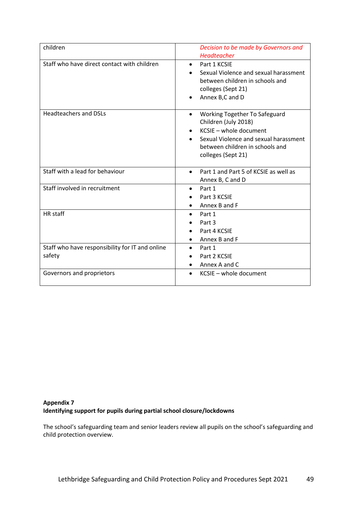| children                                                  | Decision to be made by Governors and<br><b>Headteacher</b>                                                                                                                                     |
|-----------------------------------------------------------|------------------------------------------------------------------------------------------------------------------------------------------------------------------------------------------------|
| Staff who have direct contact with children               | Part 1 KCSIE<br>$\bullet$<br>Sexual Violence and sexual harassment<br>between children in schools and<br>colleges (Sept 21)<br>Annex B,C and D                                                 |
| <b>Headteachers and DSLs</b>                              | Working Together To Safeguard<br>$\bullet$<br>Children (July 2018)<br>KCSIE - whole document<br>Sexual Violence and sexual harassment<br>between children in schools and<br>colleges (Sept 21) |
| Staff with a lead for behaviour                           | Part 1 and Part 5 of KCSIE as well as<br>$\bullet$<br>Annex B, C and D                                                                                                                         |
| Staff involved in recruitment                             | Part 1<br>$\bullet$<br>Part 3 KCSIE<br>Annex B and F                                                                                                                                           |
| HR staff                                                  | Part 1<br>Part 3<br>Part 4 KCSIE<br>Annex B and F                                                                                                                                              |
| Staff who have responsibility for IT and online<br>safety | Part 1<br>Part 2 KCSIE<br>Annex A and C                                                                                                                                                        |
| Governors and proprietors                                 | KCSIE - whole document                                                                                                                                                                         |

#### **Appendix 7 Identifying support for pupils during partial school closure/lockdowns**

The school's safeguarding team and senior leaders review all pupils on the school's safeguarding and child protection overview.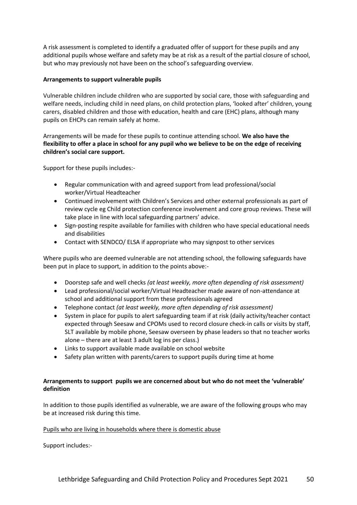A risk assessment is completed to identify a graduated offer of support for these pupils and any additional pupils whose welfare and safety may be at risk as a result of the partial closure of school, but who may previously not have been on the school's safeguarding overview.

#### **Arrangements to support vulnerable pupils**

Vulnerable children include children who are supported by social care, those with safeguarding and welfare needs, including child in need plans, on child protection plans, 'looked after' children, young carers, disabled children and those with [education,](https://www.gov.uk/children-with-special-educational-needs/extra-SEN-help) health and care (EHC) plans, although many pupils on EHCPs can remain safely at home.

Arrangements will be made for these pupils to continue attending school. **We also have the flexibility to offer a place in school for any pupil who we believe to be on the edge of receiving children's social care support.**

Support for these pupils includes:-

- Regular communication with and agreed support from lead professional/social worker/Virtual Headteacher
- Continued involvement with Children's Services and other external professionals as part of review cycle eg Child protection conference involvement and core group reviews. These will take place in line with local safeguarding partners' advice.
- Sign-posting respite available for families with children who have special educational needs and disabilities
- Contact with SENDCO/ ELSA if appropriate who may signpost to other services

Where pupils who are deemed vulnerable are not attending school, the following safeguards have been put in place to support, in addition to the points above:-

- Doorstep safe and well checks *(at least weekly, more often depending of risk assessment)*
- Lead professional/social worker/Virtual Headteacher made aware of non-attendance at school and additional support from these professionals agreed
- Telephone contact *(at least weekly, more often depending of risk assessment)*
- System in place for pupils to alert safeguarding team if at risk (daily activity/teacher contact expected through Seesaw and CPOMs used to record closure check-in calls or visits by staff, SLT available by mobile phone, Seesaw overseen by phase leaders so that no teacher works alone – there are at least 3 adult log ins per class.)
- Links to support available made available on school website
- Safety plan written with parents/carers to support pupils during time at home

#### **Arrangements to support pupils we are concerned about but who do not meet the 'vulnerable' definition**

In addition to those pupils identified as vulnerable, we are aware of the following groups who may be at increased risk during this time.

#### Pupils who are living in households where there is domestic abuse

Support includes:-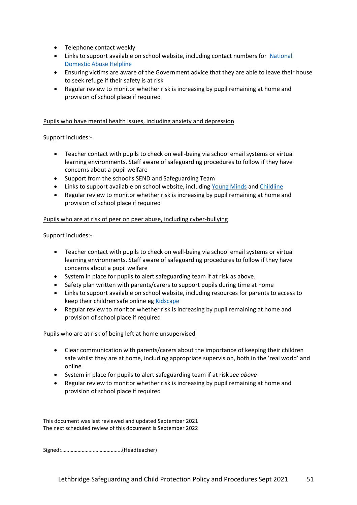- Telephone contact weekly
- Links to support available on school website, including contact numbers for [National](https://www.nationaldahelpline.org.uk/)  [Domestic Abuse Helpline](https://www.nationaldahelpline.org.uk/)
- Ensuring victims are aware of the Government advice that they are able to leave their house to seek refuge if their safety is at risk
- Regular review to monitor whether risk is increasing by pupil remaining at home and provision of school place if required

#### Pupils who have mental health issues, including anxiety and depression

Support includes:-

- Teacher contact with pupils to check on well-being via school email systems or virtual learning environments. Staff aware of safeguarding procedures to follow if they have concerns about a pupil welfare
- Support from the school's SEND and Safeguarding Team
- Links to support available on school website, including [Young Minds](https://youngminds.org.uk/) and [Childline](https://www.childline.org.uk/)
- Regular review to monitor whether risk is increasing by pupil remaining at home and provision of school place if required

#### Pupils who are at risk of peer on peer abuse, including cyber-bullying

Support includes:-

- Teacher contact with pupils to check on well-being via school email systems or virtual learning environments. Staff aware of safeguarding procedures to follow if they have concerns about a pupil welfare
- System in place for pupils to alert safeguarding team if at risk as above*.*
- Safety plan written with parents/carers to support pupils during time at home
- Links to support available on school website, including resources for parents to access to keep their children safe online eg [Kidscape](https://www.kidscape.org.uk/advice/advice-for-parents-and-carers/cyberbullying-and-digital-safety/reporting-cyberbullying/)
- Regular review to monitor whether risk is increasing by pupil remaining at home and provision of school place if required

#### Pupils who are at risk of being left at home unsupervised

- Clear communication with parents/carers about the importance of keeping their children safe whilst they are at home, including appropriate supervision, both in the 'real world' and online
- System in place for pupils to alert safeguarding team if at risk *see above*
- Regular review to monitor whether risk is increasing by pupil remaining at home and provision of school place if required

This document was last reviewed and updated September 2021 The next scheduled review of this document is September 2022

Signed:……………………………………..(Headteacher)